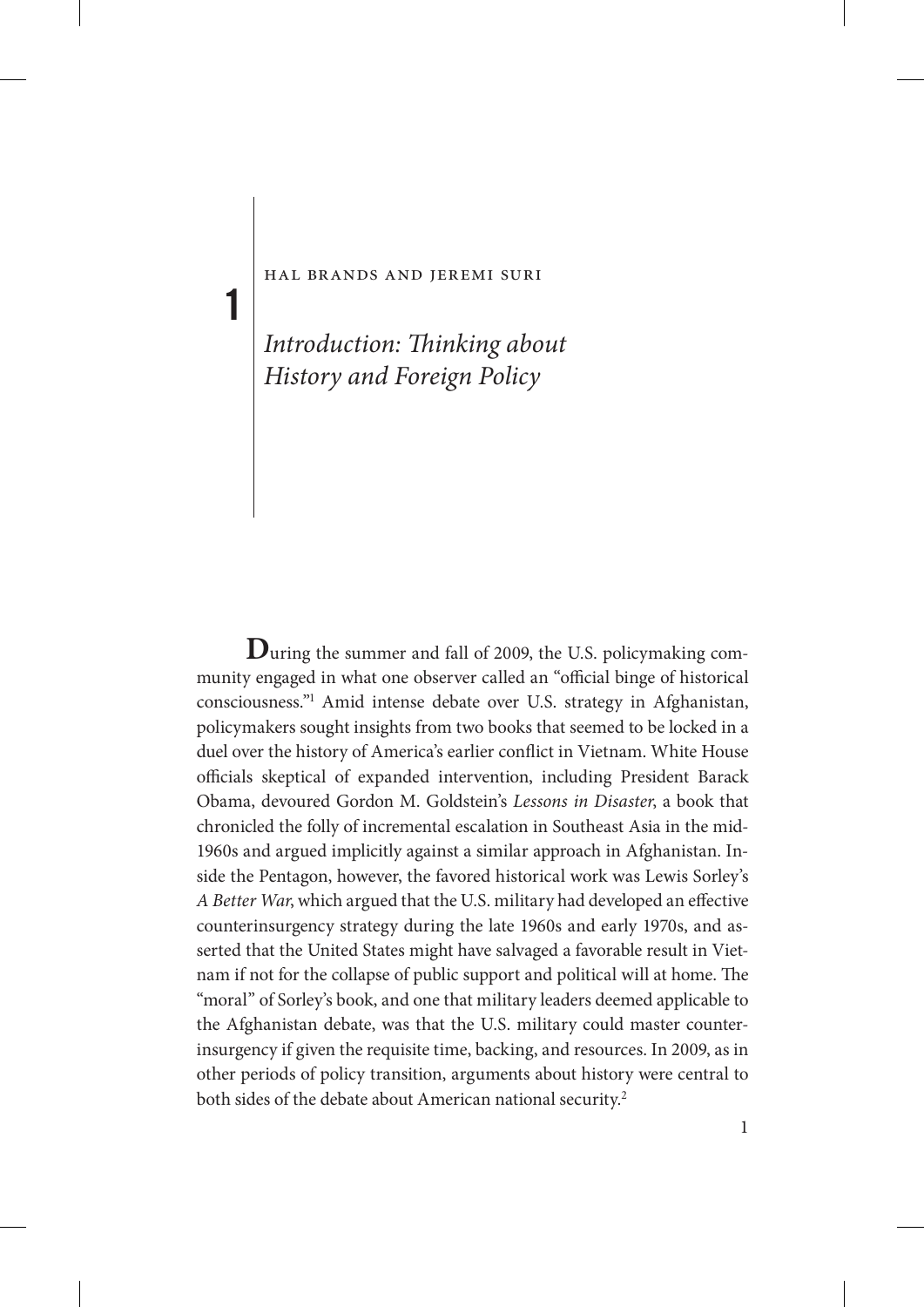#### hal brands and jeremi suri

**1**

*Introduction: Th inking about History and Foreign Policy*

**D**uring the summer and fall of 2009, the U.S. policymaking community engaged in what one observer called an "official binge of historical consciousness."<sup>1</sup> Amid intense debate over U.S. strategy in Afghanistan, policymakers sought insights from two books that seemed to be locked in a duel over the history of America's earlier conflict in Vietnam. White House officials skeptical of expanded intervention, including President Barack Obama, devoured Gordon M. Goldstein's *Lessons in Disaster*, a book that chronicled the folly of incremental escalation in Southeast Asia in the mid-1960s and argued implicitly against a similar approach in Afghanistan. Inside the Pentagon, however, the favored historical work was Lewis Sorley's A Better War, which argued that the U.S. military had developed an effective counterinsurgency strategy during the late 1960s and early 1970s, and asserted that the United States might have salvaged a favorable result in Vietnam if not for the collapse of public support and political will at home. The "moral" of Sorley's book, and one that military leaders deemed applicable to the Afghanistan debate, was that the U.S. military could master counterinsurgency if given the requisite time, backing, and resources. In 2009, as in other periods of policy transition, arguments about history were central to both sides of the debate about American national security.<sup>2</sup>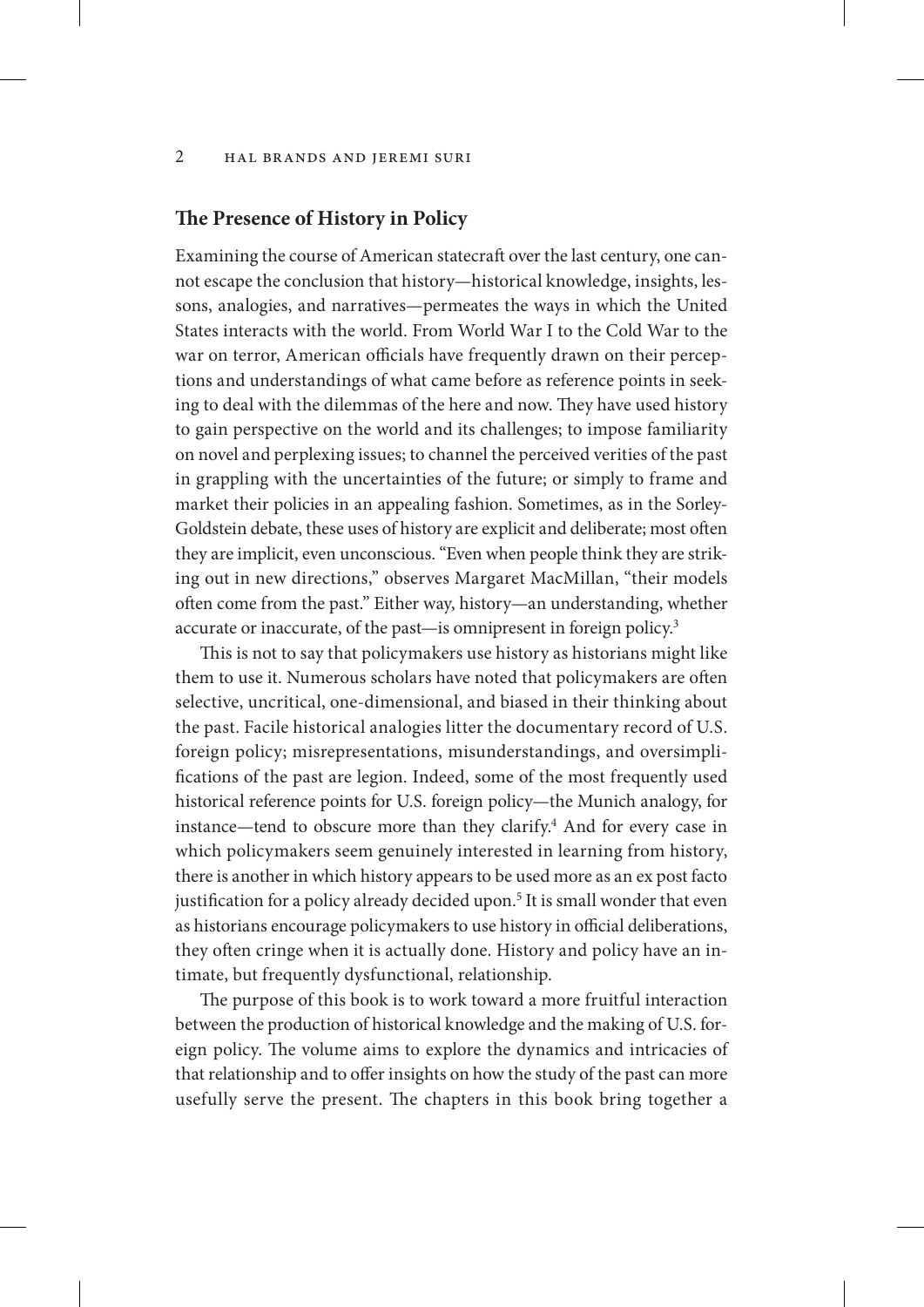## **The Presence of History in Policy**

Examining the course of American statecraft over the last century, one cannot escape the conclusion that history— historical knowledge, insights, lessons, analogies, and narratives— permeates the ways in which the United States interacts with the world. From World War I to the Cold War to the war on terror, American officials have frequently drawn on their perceptions and understandings of what came before as reference points in seeking to deal with the dilemmas of the here and now. They have used history to gain perspective on the world and its challenges; to impose familiarity on novel and perplexing issues; to channel the perceived verities of the past in grappling with the uncertainties of the future; or simply to frame and market their policies in an appealing fashion. Sometimes, as in the Sorley-Goldstein debate, these uses of history are explicit and deliberate; most often they are implicit, even unconscious. "Even when people think they are striking out in new directions," observes Margaret MacMillan, "their models often come from the past." Either way, history—an understanding, whether accurate or inaccurate, of the past—is omnipresent in foreign policy.<sup>3</sup>

This is not to say that policymakers use history as historians might like them to use it. Numerous scholars have noted that policymakers are often selective, uncritical, one- dimensional, and biased in their thinking about the past. Facile historical analogies litter the documentary record of U.S. foreign policy; misrepresentations, misunderstandings, and oversimplifications of the past are legion. Indeed, some of the most frequently used historical reference points for U.S. foreign policy— the Munich analogy, for instance—tend to obscure more than they clarify.<sup>4</sup> And for every case in which policymakers seem genuinely interested in learning from history, there is another in which history appears to be used more as an ex post facto justification for a policy already decided upon.<sup>5</sup> It is small wonder that even as historians encourage policymakers to use history in official deliberations, they often cringe when it is actually done. History and policy have an intimate, but frequently dysfunctional, relationship.

The purpose of this book is to work toward a more fruitful interaction between the production of historical knowledge and the making of U.S. foreign policy. The volume aims to explore the dynamics and intricacies of that relationship and to offer insights on how the study of the past can more usefully serve the present. The chapters in this book bring together a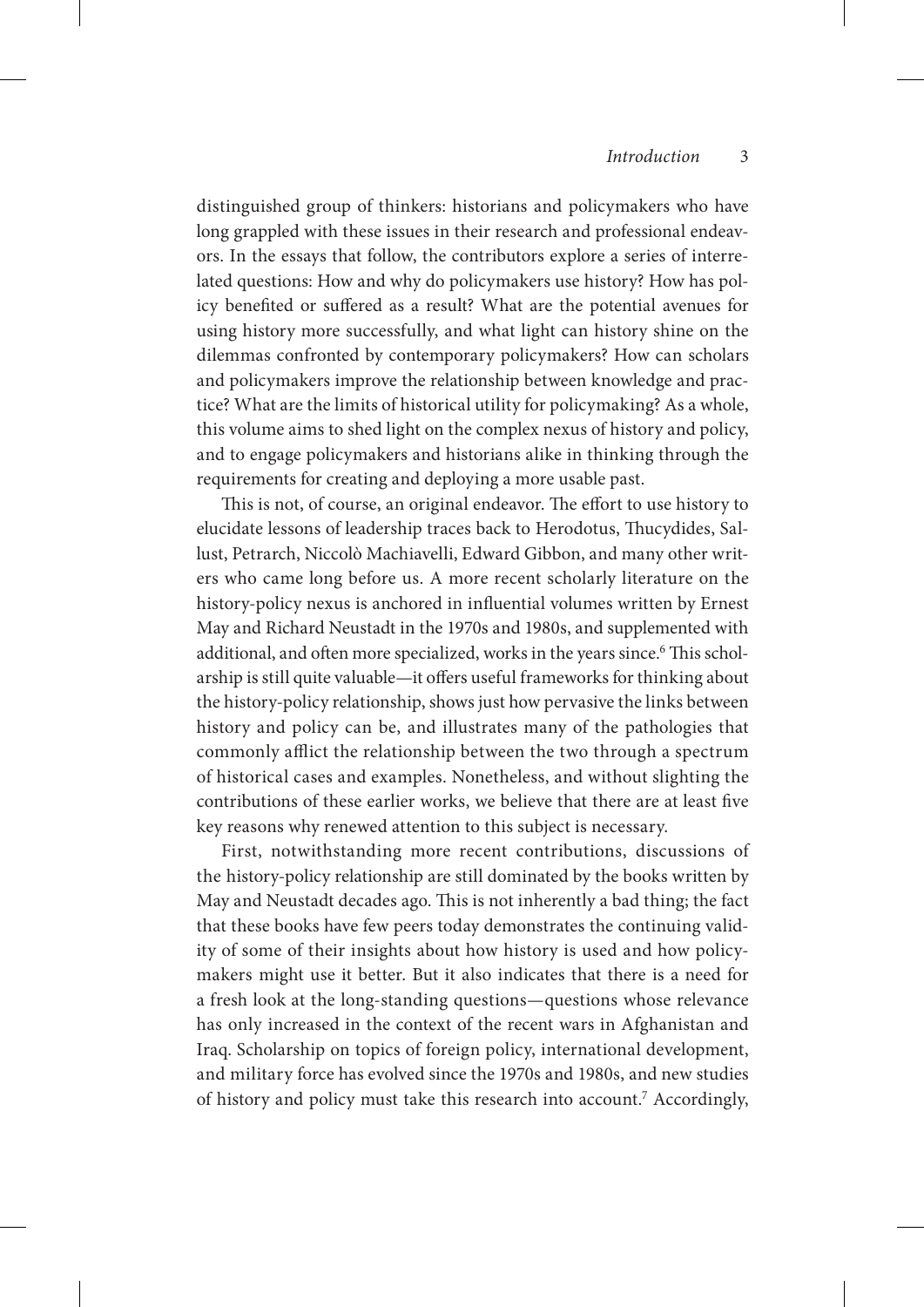distinguished group of thinkers: historians and policymakers who have long grappled with these issues in their research and professional endeavors. In the essays that follow, the contributors explore a series of interrelated questions: How and why do policymakers use history? How has policy benefited or suffered as a result? What are the potential avenues for using history more successfully, and what light can history shine on the dilemmas confronted by contemporary policymakers? How can scholars and policymakers improve the relationship between knowledge and practice? What are the limits of historical utility for policymaking? As a whole, this volume aims to shed light on the complex nexus of history and policy, and to engage policymakers and historians alike in thinking through the requirements for creating and deploying a more usable past.

This is not, of course, an original endeavor. The effort to use history to elucidate lessons of leadership traces back to Herodotus, Thucydides, Sallust, Petrarch, Niccolò Machiavelli, Edward Gibbon, and many other writers who came long before us. A more recent scholarly literature on the history-policy nexus is anchored in influential volumes written by Ernest May and Richard Neustadt in the 1970s and 1980s, and supplemented with additional, and often more specialized, works in the years since.<sup>6</sup> This scholarship is still quite valuable—it offers useful frameworks for thinking about the history- policy relationship, shows just how pervasive the links between history and policy can be, and illustrates many of the pathologies that commonly afflict the relationship between the two through a spectrum of historical cases and examples. Nonetheless, and without slighting the contributions of these earlier works, we believe that there are at least five key reasons why renewed attention to this subject is necessary.

First, notwithstanding more recent contributions, discussions of the history- policy relationship are still dominated by the books written by May and Neustadt decades ago. This is not inherently a bad thing; the fact that these books have few peers today demonstrates the continuing validity of some of their insights about how history is used and how policymakers might use it better. But it also indicates that there is a need for a fresh look at the long- standing questions— questions whose relevance has only increased in the context of the recent wars in Afghanistan and Iraq. Scholarship on topics of foreign policy, international development, and military force has evolved since the 1970s and 1980s, and new studies of history and policy must take this research into account.<sup>7</sup> Accordingly,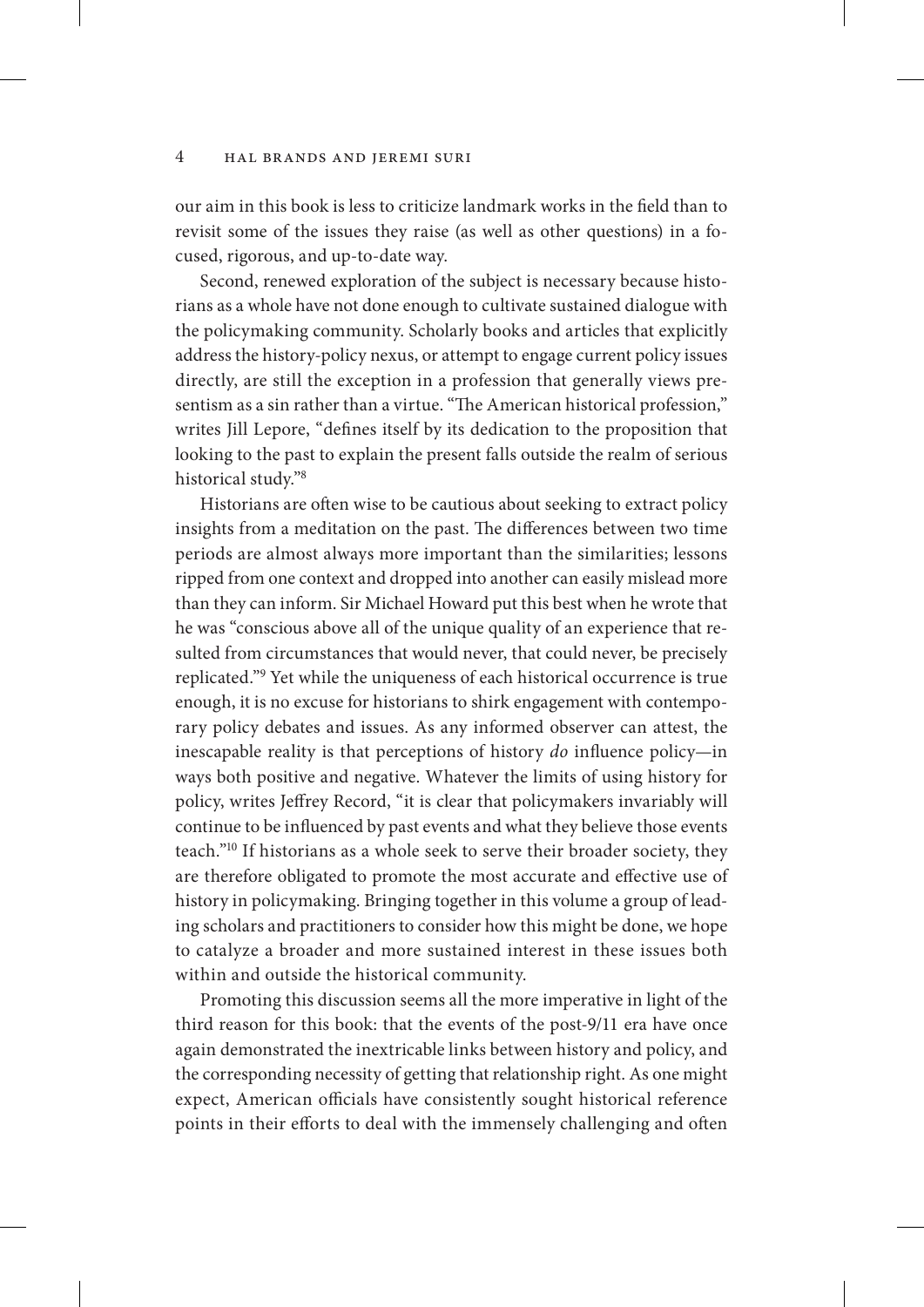our aim in this book is less to criticize landmark works in the field than to revisit some of the issues they raise (as well as other questions) in a focused, rigorous, and up-to-date way.

Second, renewed exploration of the subject is necessary because historians as a whole have not done enough to cultivate sustained dialogue with the policymaking community. Scholarly books and articles that explicitly address the history- policy nexus, or attempt to engage current policy issues directly, are still the exception in a profession that generally views presentism as a sin rather than a virtue. "The American historical profession," writes Jill Lepore, "defines itself by its dedication to the proposition that looking to the past to explain the present falls outside the realm of serious historical study."8

Historians are often wise to be cautious about seeking to extract policy insights from a meditation on the past. The differences between two time periods are almost always more important than the similarities; lessons ripped from one context and dropped into another can easily mislead more than they can inform. Sir Michael Howard put this best when he wrote that he was "conscious above all of the unique quality of an experience that resulted from circumstances that would never, that could never, be precisely replicated."9 Yet while the uniqueness of each historical occurrence is true enough, it is no excuse for historians to shirk engagement with contemporary policy debates and issues. As any informed observer can attest, the inescapable reality is that perceptions of history *do* influence policy-in ways both positive and negative. Whatever the limits of using history for policy, writes Jeffrey Record, "it is clear that policymakers invariably will continue to be influenced by past events and what they believe those events teach."10 If historians as a whole seek to serve their broader society, they are therefore obligated to promote the most accurate and effective use of history in policymaking. Bringing together in this volume a group of leading scholars and practitioners to consider how this might be done, we hope to catalyze a broader and more sustained interest in these issues both within and outside the historical community.

Promoting this discussion seems all the more imperative in light of the third reason for this book: that the events of the post-9/11 era have once again demonstrated the inextricable links between history and policy, and the corresponding necessity of getting that relationship right. As one might expect, American officials have consistently sought historical reference points in their efforts to deal with the immensely challenging and often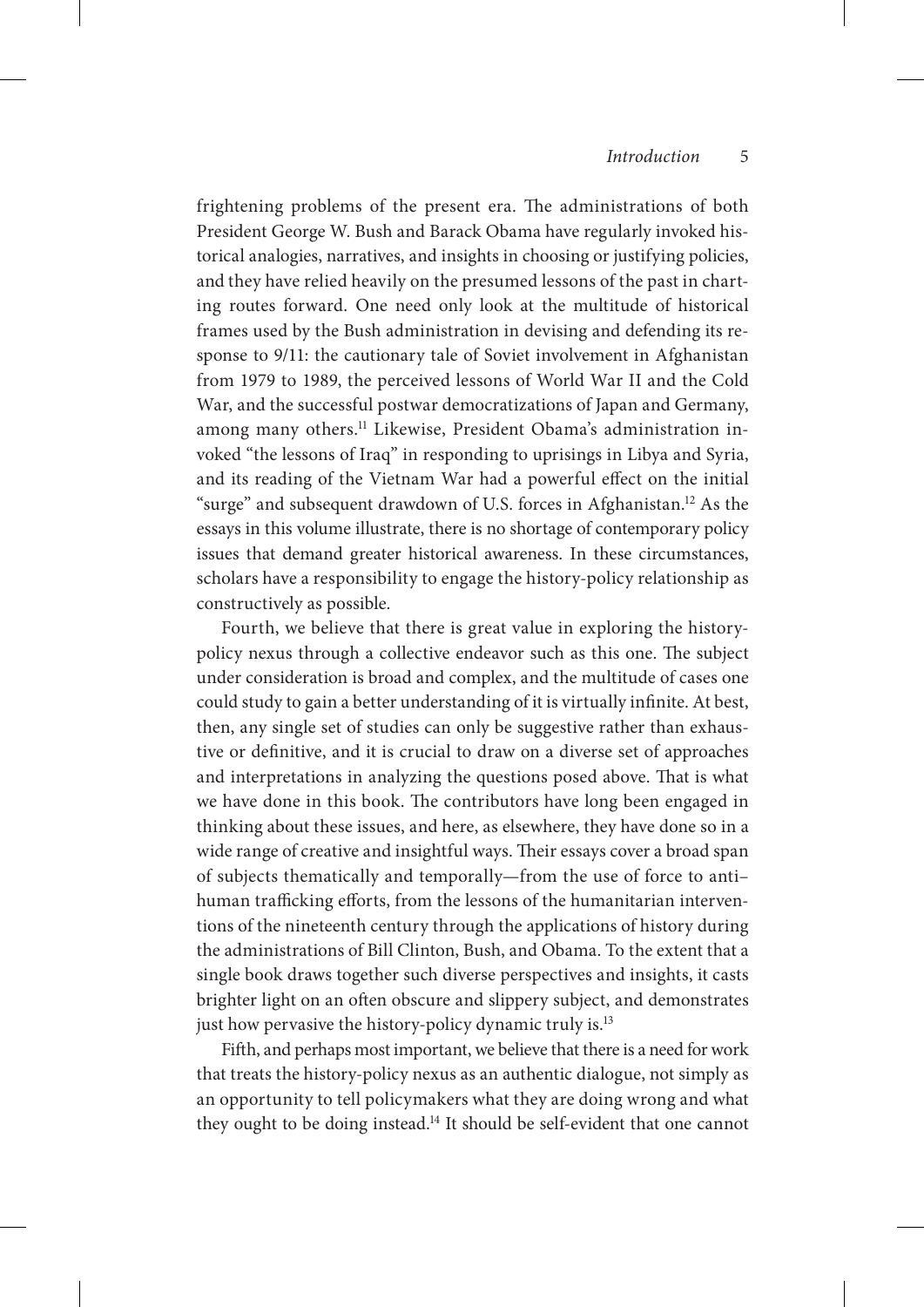frightening problems of the present era. The administrations of both President George W. Bush and Barack Obama have regularly invoked historical analogies, narratives, and insights in choosing or justifying policies, and they have relied heavily on the presumed lessons of the past in charting routes forward. One need only look at the multitude of historical frames used by the Bush administration in devising and defending its response to 9/11: the cautionary tale of Soviet involvement in Afghanistan from 1979 to 1989, the perceived lessons of World War II and the Cold War, and the successful postwar democratizations of Japan and Germany, among many others.<sup>11</sup> Likewise, President Obama's administration invoked "the lessons of Iraq" in responding to uprisings in Libya and Syria, and its reading of the Vietnam War had a powerful effect on the initial "surge" and subsequent drawdown of U.S. forces in Afghanistan.<sup>12</sup> As the essays in this volume illustrate, there is no shortage of contemporary policy issues that demand greater historical awareness. In these circumstances, scholars have a responsibility to engage the history-policy relationship as constructively as possible.

Fourth, we believe that there is great value in exploring the historypolicy nexus through a collective endeavor such as this one. The subject under consideration is broad and complex, and the multitude of cases one could study to gain a better understanding of it is virtually infinite. At best, then, any single set of studies can only be suggestive rather than exhaustive or definitive, and it is crucial to draw on a diverse set of approaches and interpretations in analyzing the questions posed above. That is what we have done in this book. The contributors have long been engaged in thinking about these issues, and here, as elsewhere, they have done so in a wide range of creative and insightful ways. Their essays cover a broad span of subjects thematically and temporally— from the use of force to anti– human trafficking efforts, from the lessons of the humanitarian interventions of the nineteenth century through the applications of history during the administrations of Bill Clinton, Bush, and Obama. To the extent that a single book draws together such diverse perspectives and insights, it casts brighter light on an often obscure and slippery subject, and demonstrates just how pervasive the history-policy dynamic truly is.<sup>13</sup>

Fifth, and perhaps most important, we believe that there is a need for work that treats the history- policy nexus as an authentic dialogue, not simply as an opportunity to tell policymakers what they are doing wrong and what they ought to be doing instead.<sup>14</sup> It should be self-evident that one cannot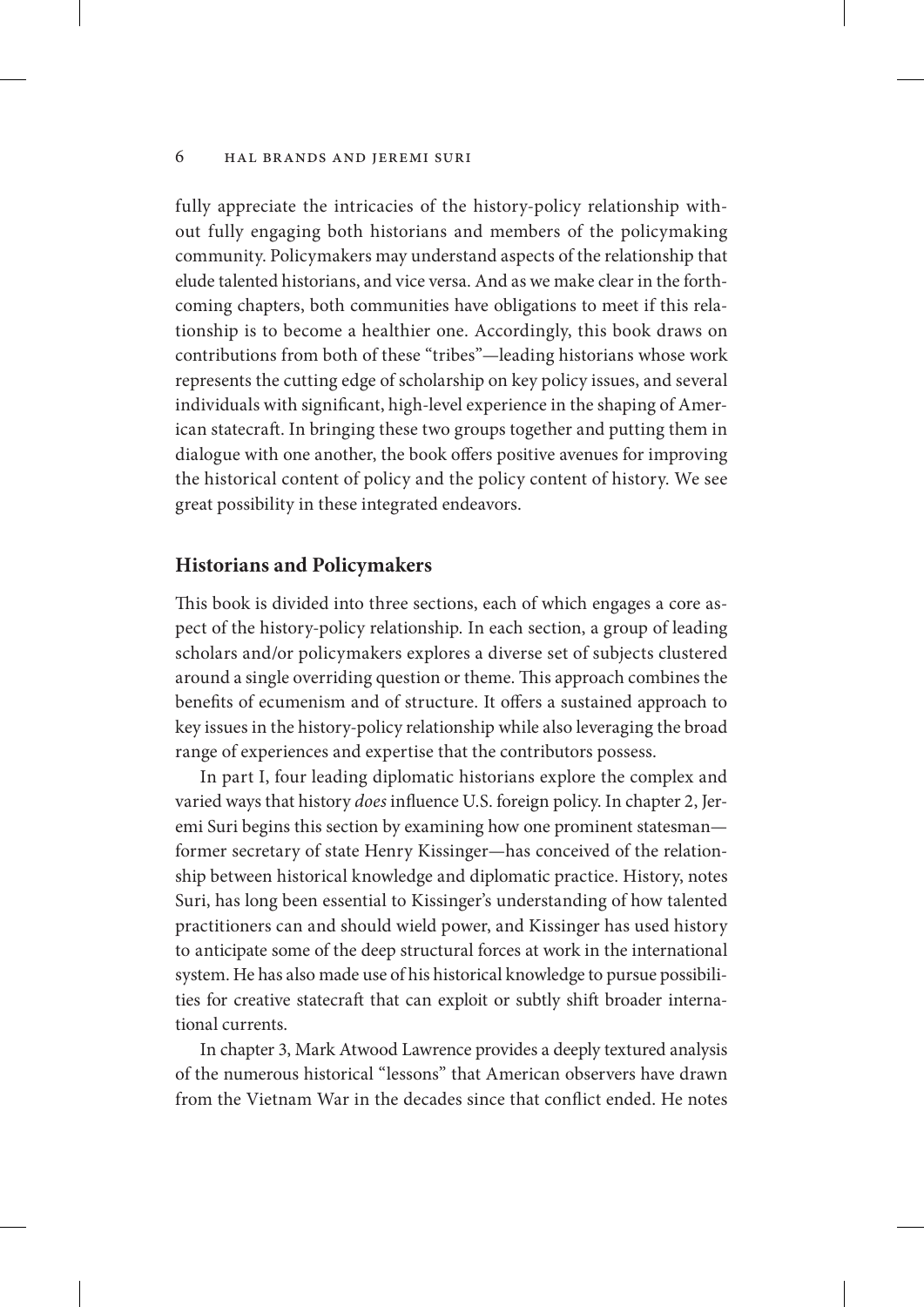fully appreciate the intricacies of the history-policy relationship without fully engaging both historians and members of the policymaking community. Policymakers may understand aspects of the relationship that elude talented historians, and vice versa. And as we make clear in the forthcoming chapters, both communities have obligations to meet if this relationship is to become a healthier one. Accordingly, this book draws on contributions from both of these "tribes"— leading historians whose work represents the cutting edge of scholarship on key policy issues, and several individuals with significant, high-level experience in the shaping of American statecraft. In bringing these two groups together and putting them in dialogue with one another, the book offers positive avenues for improving the historical content of policy and the policy content of history. We see great possibility in these integrated endeavors.

## **Historians and Policymakers**

This book is divided into three sections, each of which engages a core aspect of the history- policy relationship. In each section, a group of leading scholars and/or policymakers explores a diverse set of subjects clustered around a single overriding question or theme. This approach combines the benefits of ecumenism and of structure. It offers a sustained approach to key issues in the history- policy relationship while also leveraging the broad range of experiences and expertise that the contributors possess.

In part I, four leading diplomatic historians explore the complex and varied ways that history *does* influence U.S. foreign policy. In chapter 2, Jeremi Suri begins this section by examining how one prominent statesman former secretary of state Henry Kissinger— has conceived of the relationship between historical knowledge and diplomatic practice. History, notes Suri, has long been essential to Kissinger's understanding of how talented practitioners can and should wield power, and Kissinger has used history to anticipate some of the deep structural forces at work in the international system. He has also made use of his historical knowledge to pursue possibilities for creative statecraft that can exploit or subtly shift broader international currents.

In chapter 3, Mark Atwood Lawrence provides a deeply textured analysis of the numerous historical "lessons" that American observers have drawn from the Vietnam War in the decades since that conflict ended. He notes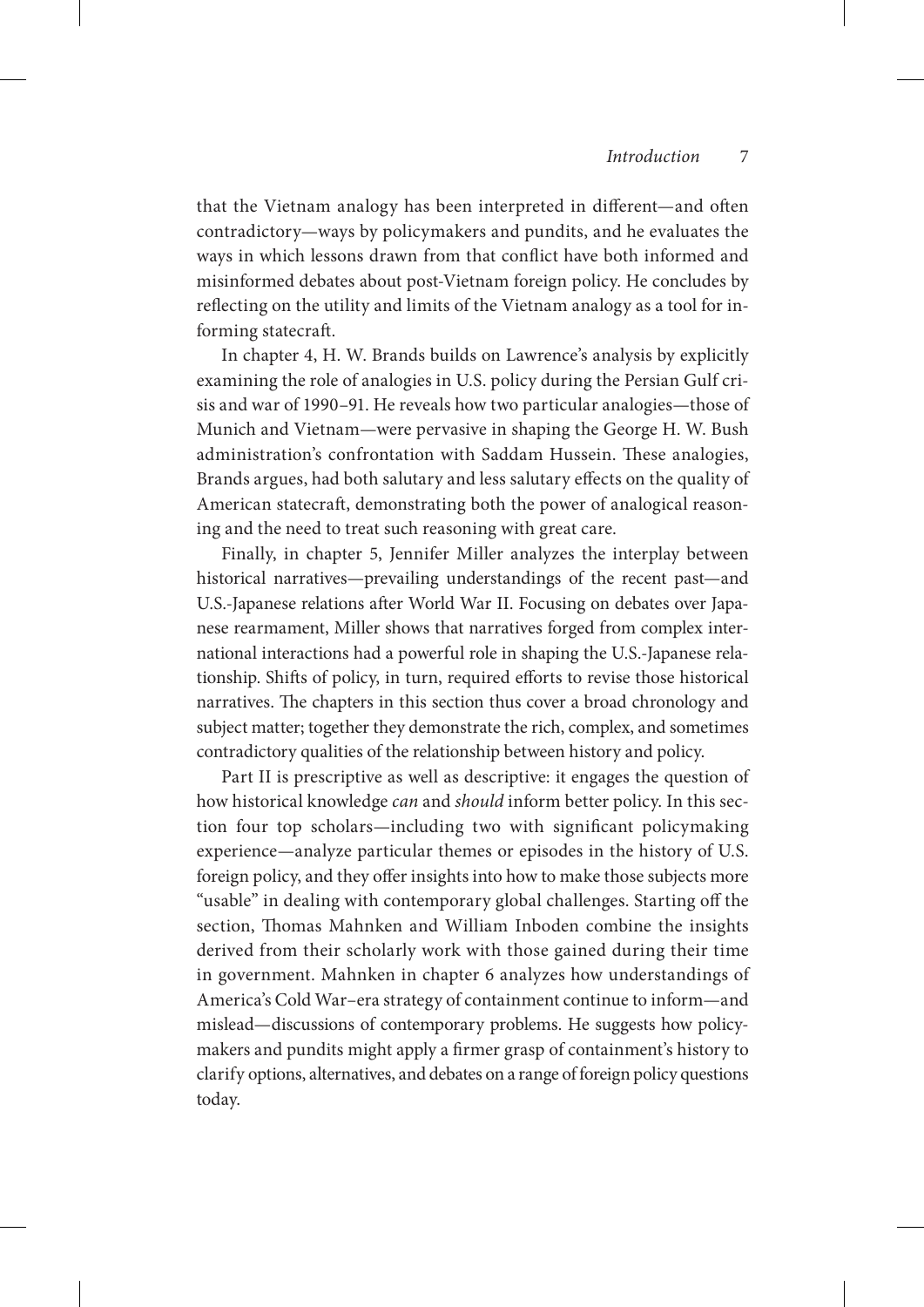that the Vietnam analogy has been interpreted in different—and often contradictory— ways by policymakers and pundits, and he evaluates the ways in which lessons drawn from that conflict have both informed and misinformed debates about post- Vietnam foreign policy. He concludes by reflecting on the utility and limits of the Vietnam analogy as a tool for informing statecraft.

In chapter 4, H. W. Brands builds on Lawrence's analysis by explicitly examining the role of analogies in U.S. policy during the Persian Gulf crisis and war of 1990–91. He reveals how two particular analogies—those of Munich and Vietnam— were pervasive in shaping the George H. W. Bush administration's confrontation with Saddam Hussein. These analogies, Brands argues, had both salutary and less salutary effects on the quality of American statecraft, demonstrating both the power of analogical reasoning and the need to treat such reasoning with great care.

Finally, in chapter 5, Jennifer Miller analyzes the interplay between historical narratives—prevailing understandings of the recent past—and U.S.-Japanese relations after World War II. Focusing on debates over Japanese rearmament, Miller shows that narratives forged from complex international interactions had a powerful role in shaping the U.S.- Japanese relationship. Shifts of policy, in turn, required efforts to revise those historical narratives. The chapters in this section thus cover a broad chronology and subject matter; together they demonstrate the rich, complex, and sometimes contradictory qualities of the relationship between history and policy.

Part II is prescriptive as well as descriptive: it engages the question of how historical knowledge *can* and *should* inform better policy. In this section four top scholars—including two with significant policymaking experience—analyze particular themes or episodes in the history of U.S. foreign policy, and they offer insights into how to make those subjects more "usable" in dealing with contemporary global challenges. Starting off the section, Thomas Mahnken and William Inboden combine the insights derived from their scholarly work with those gained during their time in government. Mahnken in chapter 6 analyzes how understandings of America's Cold War– era strategy of containment continue to inform— and mislead— discussions of contemporary problems. He suggests how policymakers and pundits might apply a firmer grasp of containment's history to clarify options, alternatives, and debates on a range of foreign policy questions today.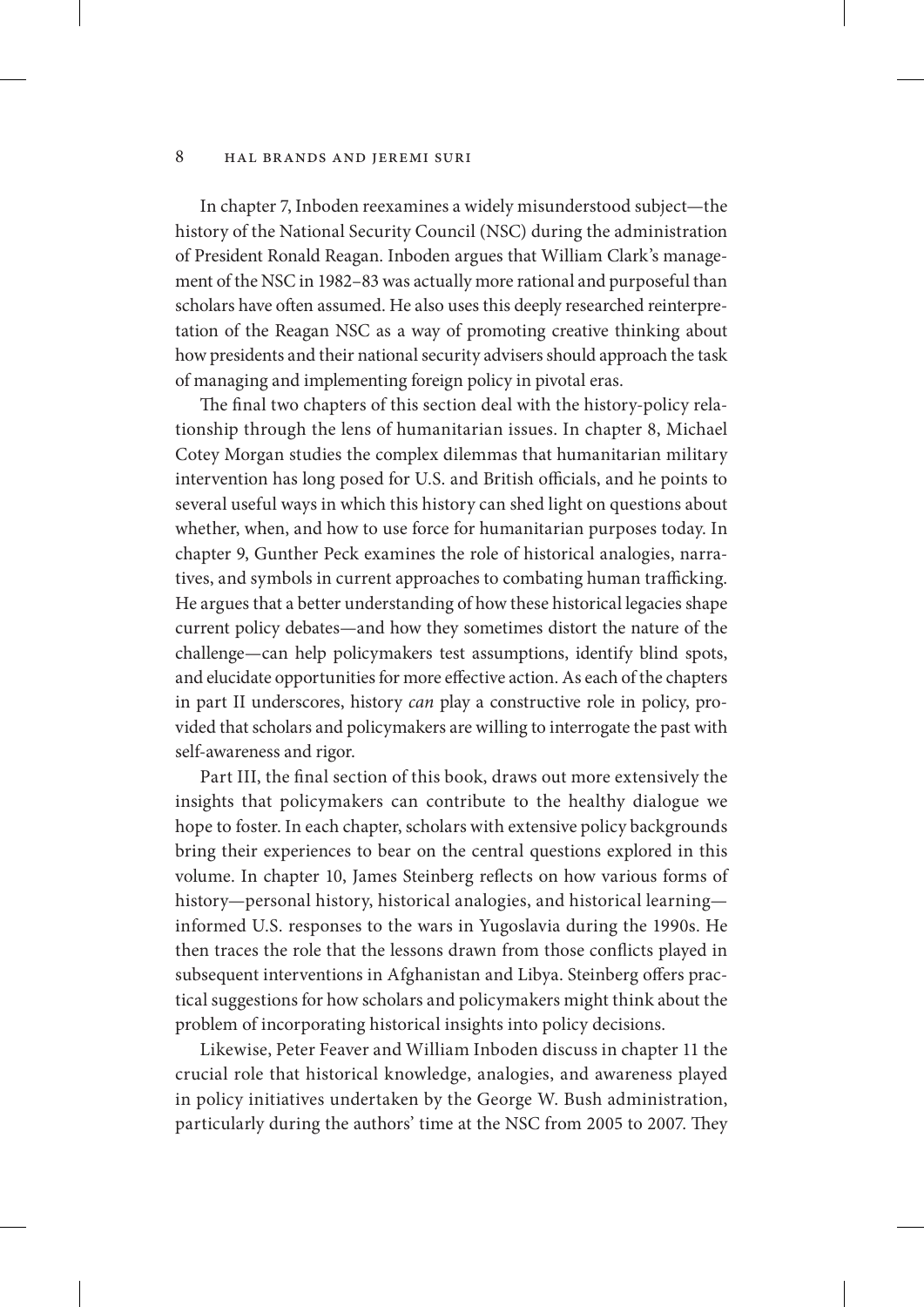In chapter 7, Inboden reexamines a widely misunderstood subject— the history of the National Security Council (NSC) during the administration of President Ronald Reagan. Inboden argues that William Clark's management of the NSC in 1982–83 was actually more rational and purposeful than scholars have often assumed. He also uses this deeply researched reinterpretation of the Reagan NSC as a way of promoting creative thinking about how presidents and their national security advisers should approach the task of managing and implementing foreign policy in pivotal eras.

The final two chapters of this section deal with the history-policy relationship through the lens of humanitarian issues. In chapter 8, Michael Cotey Morgan studies the complex dilemmas that humanitarian military intervention has long posed for U.S. and British officials, and he points to several useful ways in which this history can shed light on questions about whether, when, and how to use force for humanitarian purposes today. In chapter 9, Gunther Peck examines the role of historical analogies, narratives, and symbols in current approaches to combating human trafficking. He argues that a better understanding of how these historical legacies shape current policy debates— and how they sometimes distort the nature of the challenge— can help policymakers test assumptions, identify blind spots, and elucidate opportunities for more effective action. As each of the chapters in part II underscores, history *can* play a constructive role in policy, provided that scholars and policymakers are willing to interrogate the past with self-awareness and rigor.

Part III, the final section of this book, draws out more extensively the insights that policymakers can contribute to the healthy dialogue we hope to foster. In each chapter, scholars with extensive policy backgrounds bring their experiences to bear on the central questions explored in this volume. In chapter 10, James Steinberg reflects on how various forms of history— personal history, historical analogies, and historical learning informed U.S. responses to the wars in Yugoslavia during the 1990s. He then traces the role that the lessons drawn from those conflicts played in subsequent interventions in Afghanistan and Libya. Steinberg offers practical suggestions for how scholars and policymakers might think about the problem of incorporating historical insights into policy decisions.

Likewise, Peter Feaver and William Inboden discuss in chapter 11 the crucial role that historical knowledge, analogies, and awareness played in policy initiatives undertaken by the George W. Bush administration, particularly during the authors' time at the NSC from 2005 to 2007. They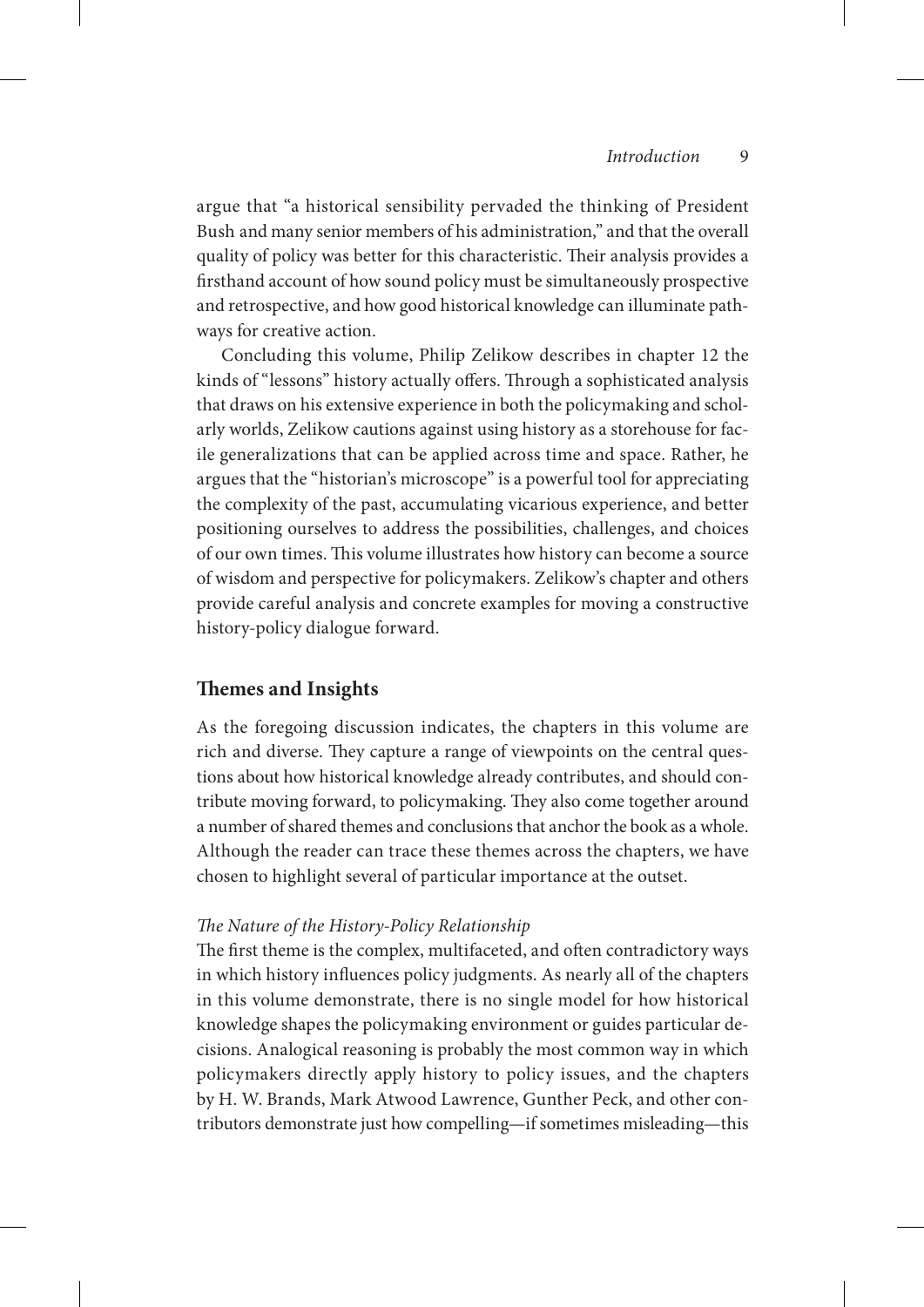argue that "a historical sensibility pervaded the thinking of President Bush and many senior members of his administration," and that the overall quality of policy was better for this characteristic. Their analysis provides a firsthand account of how sound policy must be simultaneously prospective and retrospective, and how good historical knowledge can illuminate pathways for creative action.

Concluding this volume, Philip Zelikow describes in chapter 12 the kinds of "lessons" history actually offers. Through a sophisticated analysis that draws on his extensive experience in both the policymaking and scholarly worlds, Zelikow cautions against using history as a storehouse for facile generalizations that can be applied across time and space. Rather, he argues that the "historian's microscope" is a powerful tool for appreciating the complexity of the past, accumulating vicarious experience, and better positioning ourselves to address the possibilities, challenges, and choices of our own times. This volume illustrates how history can become a source of wisdom and perspective for policymakers. Zelikow's chapter and others provide careful analysis and concrete examples for moving a constructive history-policy dialogue forward.

# **Themes and Insights**

As the foregoing discussion indicates, the chapters in this volume are rich and diverse. They capture a range of viewpoints on the central questions about how historical knowledge already contributes, and should contribute moving forward, to policymaking. They also come together around a number of shared themes and conclusions that anchor the book as a whole. Although the reader can trace these themes across the chapters, we have chosen to highlight several of particular importance at the outset.

### The Nature of the History-Policy Relationship

The first theme is the complex, multifaceted, and often contradictory ways in which history influences policy judgments. As nearly all of the chapters in this volume demonstrate, there is no single model for how historical knowledge shapes the policymaking environment or guides particular decisions. Analogical reasoning is probably the most common way in which policymakers directly apply history to policy issues, and the chapters by H. W. Brands, Mark Atwood Lawrence, Gunther Peck, and other contributors demonstrate just how compelling—if sometimes misleading— this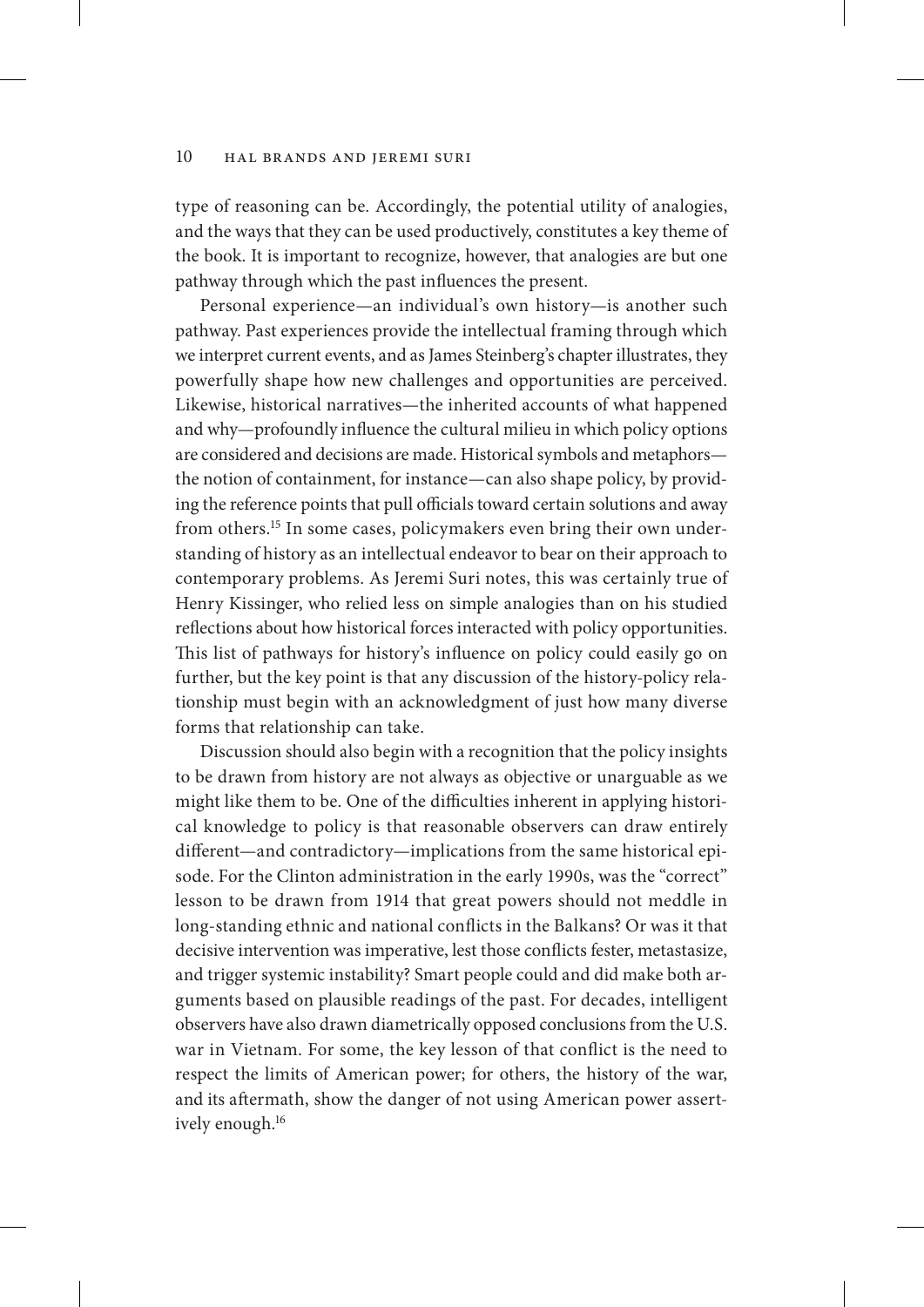type of reasoning can be. Accordingly, the potential utility of analogies, and the ways that they can be used productively, constitutes a key theme of the book. It is important to recognize, however, that analogies are but one pathway through which the past influences the present.

Personal experience—an individual's own history—is another such pathway. Past experiences provide the intellectual framing through which we interpret current events, and as James Steinberg's chapter illustrates, they powerfully shape how new challenges and opportunities are perceived. Likewise, historical narratives— the inherited accounts of what happened and why—profoundly influence the cultural milieu in which policy options are considered and decisions are made. Historical symbols and metaphors the notion of containment, for instance— can also shape policy, by providing the reference points that pull officials toward certain solutions and away from others.15 In some cases, policymakers even bring their own understanding of history as an intellectual endeavor to bear on their approach to contemporary problems. As Jeremi Suri notes, this was certainly true of Henry Kissinger, who relied less on simple analogies than on his studied reflections about how historical forces interacted with policy opportunities. This list of pathways for history's influence on policy could easily go on further, but the key point is that any discussion of the history-policy relationship must begin with an acknowledgment of just how many diverse forms that relationship can take.

Discussion should also begin with a recognition that the policy insights to be drawn from history are not always as objective or unarguable as we might like them to be. One of the difficulties inherent in applying historical knowledge to policy is that reasonable observers can draw entirely different—and contradictory—implications from the same historical episode. For the Clinton administration in the early 1990s, was the "correct" lesson to be drawn from 1914 that great powers should not meddle in long-standing ethnic and national conflicts in the Balkans? Or was it that decisive intervention was imperative, lest those conflicts fester, metastasize, and trigger systemic instability? Smart people could and did make both arguments based on plausible readings of the past. For decades, intelligent observers have also drawn diametrically opposed conclusions from the U.S. war in Vietnam. For some, the key lesson of that conflict is the need to respect the limits of American power; for others, the history of the war, and its aftermath, show the danger of not using American power assertively enough.<sup>16</sup>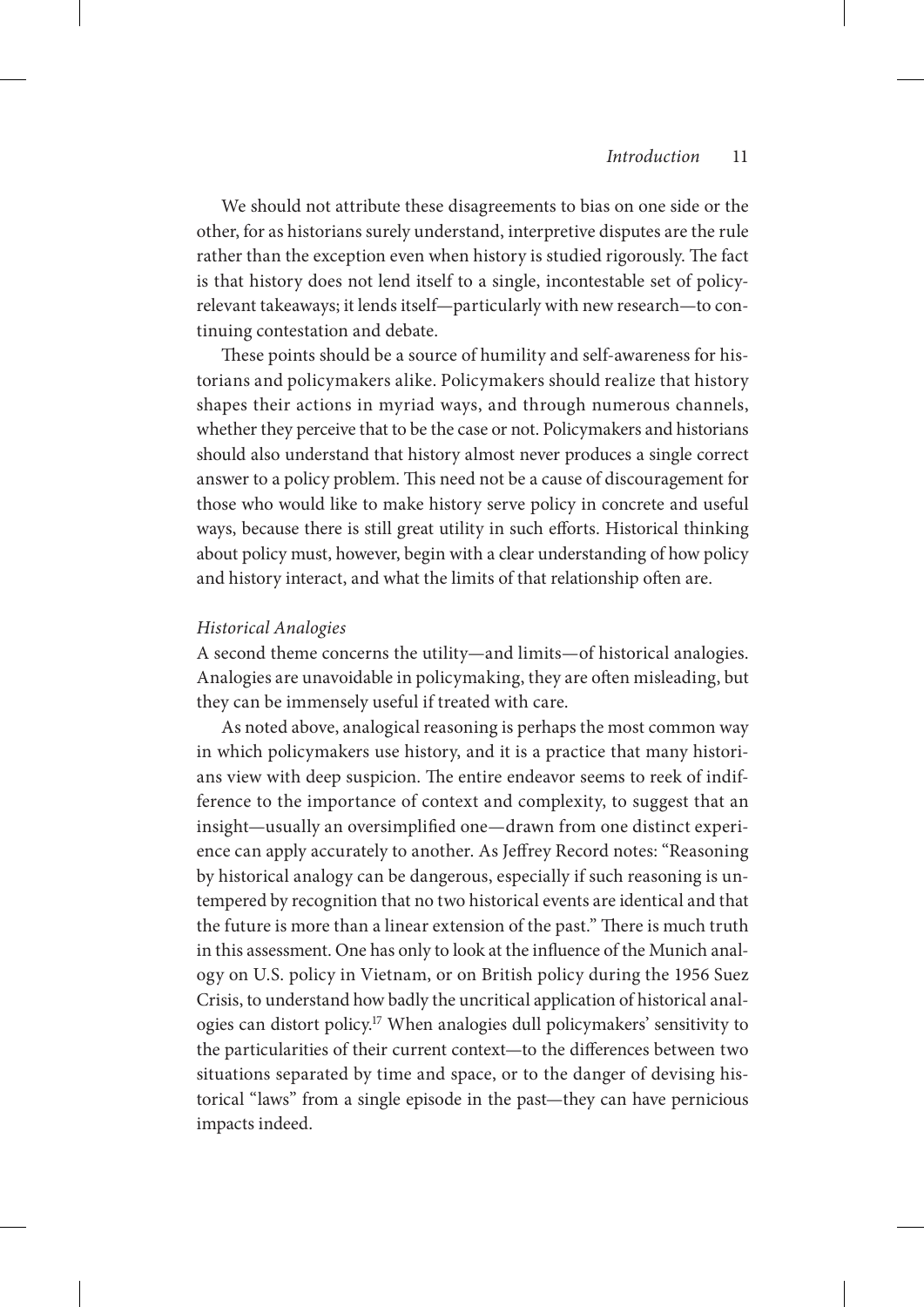We should not attribute these disagreements to bias on one side or the other, for as historians surely understand, interpretive disputes are the rule rather than the exception even when history is studied rigorously. The fact is that history does not lend itself to a single, incontestable set of policyrelevant takeaways; it lends itself— particularly with new research—to continuing contestation and debate.

These points should be a source of humility and self-awareness for historians and policymakers alike. Policymakers should realize that history shapes their actions in myriad ways, and through numerous channels, whether they perceive that to be the case or not. Policymakers and historians should also understand that history almost never produces a single correct answer to a policy problem. This need not be a cause of discouragement for those who would like to make history serve policy in concrete and useful ways, because there is still great utility in such efforts. Historical thinking about policy must, however, begin with a clear understanding of how policy and history interact, and what the limits of that relationship often are.

### *Historical Analogies*

A second theme concerns the utility— and limits—of historical analogies. Analogies are unavoidable in policymaking, they are often misleading, but they can be im mensely useful if treated with care.

As noted above, analogical reasoning is perhaps the most common way in which policymakers use history, and it is a practice that many historians view with deep suspicion. The entire endeavor seems to reek of indifference to the importance of context and complexity, to suggest that an insight-usually an oversimplified one-drawn from one distinct experience can apply accurately to another. As Jeffrey Record notes: "Reasoning by historical analogy can be dangerous, especially if such reasoning is untempered by recognition that no two historical events are identical and that the future is more than a linear extension of the past." There is much truth in this assessment. One has only to look at the influence of the Munich analogy on U.S. policy in Vietnam, or on British policy during the 1956 Suez Crisis, to understand how badly the uncritical application of historical analogies can distort policy.17 When analogies dull policymakers' sensitivity to the particularities of their current context-to the differences between two situations separated by time and space, or to the danger of devising historical "laws" from a single episode in the past— they can have pernicious impacts indeed.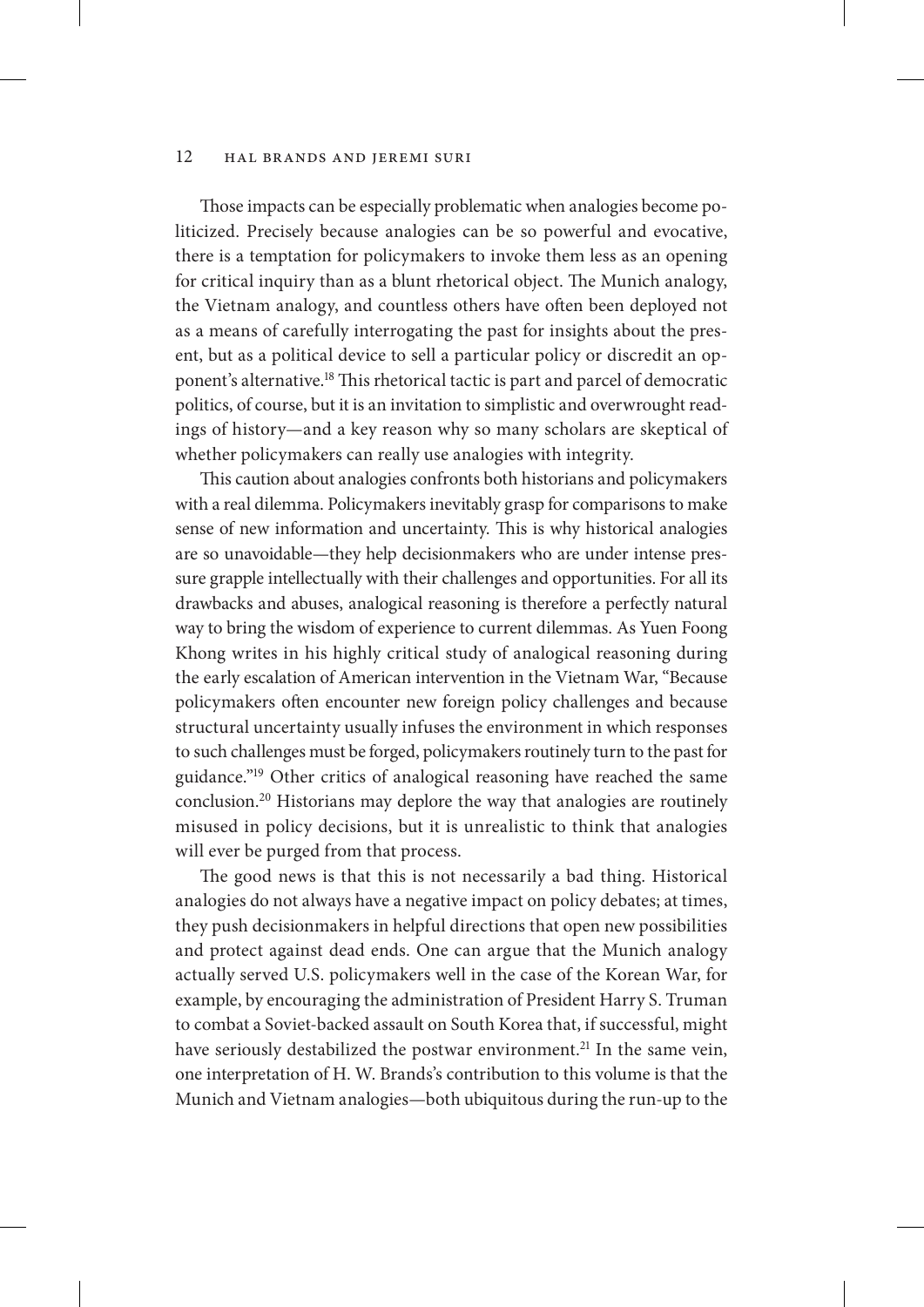Those impacts can be especially problematic when analogies become politicized. Precisely because analogies can be so powerful and evocative, there is a temptation for policymakers to invoke them less as an opening for critical inquiry than as a blunt rhetorical object. The Munich analogy, the Vietnam analogy, and countless others have often been deployed not as a means of carefully interrogating the past for insights about the present, but as a political device to sell a particular policy or discredit an opponent's alternative.<sup>18</sup> This rhetorical tactic is part and parcel of democratic politics, of course, but it is an invitation to simplistic and overwrought readings of history— and a key reason why so many scholars are skeptical of whether policymakers can really use analogies with integrity.

This caution about analogies confronts both historians and policymakers with a real dilemma. Policymakers inevitably grasp for comparisons to make sense of new information and uncertainty. This is why historical analogies are so unavoidable— they help decisionmakers who are under intense pressure grapple intellectually with their challenges and opportunities. For all its drawbacks and abuses, analogical reasoning is therefore a perfectly natural way to bring the wisdom of experience to current dilemmas. As Yuen Foong Khong writes in his highly critical study of analogical reasoning during the early escalation of American intervention in the Vietnam War, "Because policymakers often encounter new foreign policy challenges and because structural uncertainty usually infuses the environment in which responses to such challenges must be forged, policymakers routinely turn to the past for guidance."19 Other critics of analogical reasoning have reached the same conclusion.20 Historians may deplore the way that analogies are routinely misused in policy decisions, but it is unrealistic to think that analogies will ever be purged from that process.

The good news is that this is not necessarily a bad thing. Historical analogies do not always have a negative impact on policy debates; at times, they push decisionmakers in helpful directions that open new possibilities and protect against dead ends. One can argue that the Munich analogy actually served U.S. policymakers well in the case of the Korean War, for example, by encouraging the administration of President Harry S. Truman to combat a Soviet-backed assault on South Korea that, if successful, might have seriously destabilized the postwar environment.<sup>21</sup> In the same vein, one interpretation of H. W. Brands's contribution to this volume is that the Munich and Vietnam analogies— both ubiquitous during the run-up to the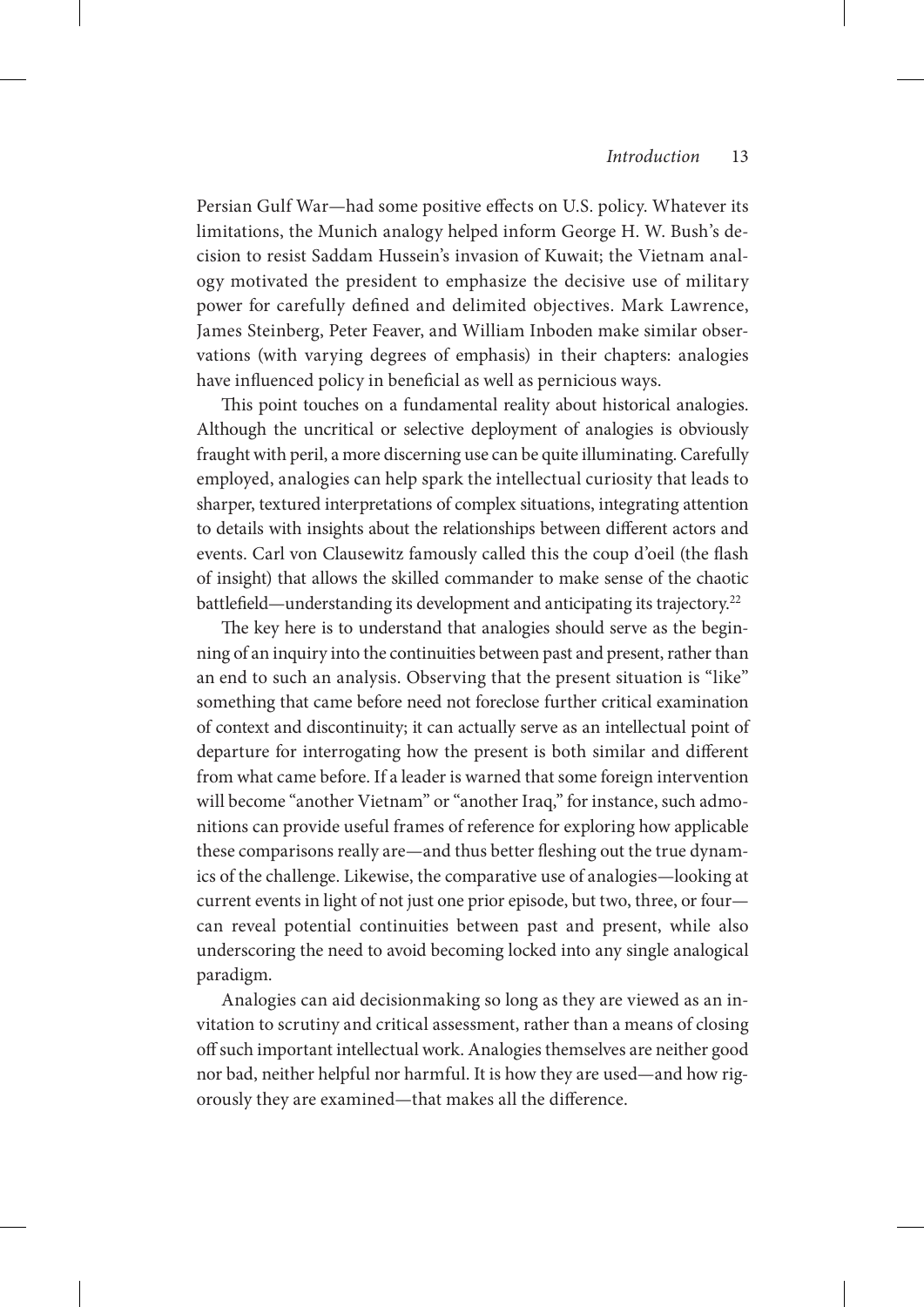Persian Gulf War—had some positive effects on U.S. policy. Whatever its limitations, the Munich analogy helped inform George H. W. Bush's decision to resist Saddam Hussein's invasion of Kuwait; the Vietnam analogy motivated the president to emphasize the decisive use of military power for carefully defined and delimited objectives. Mark Lawrence, James Steinberg, Peter Feaver, and William Inboden make similar observations (with varying degrees of emphasis) in their chapters: analogies have influenced policy in beneficial as well as pernicious ways.

This point touches on a fundamental reality about historical analogies. Although the uncritical or selective deployment of analogies is obviously fraught with peril, a more discerning use can be quite illuminating. Carefully employed, analogies can help spark the intellectual curiosity that leads to sharper, textured interpretations of complex situations, integrating attention to details with insights about the relationships between different actors and events. Carl von Clausewitz famously called this the coup d'oeil (the flash of insight) that allows the skilled commander to make sense of the chaotic battlefield—understanding its development and anticipating its trajectory.<sup>22</sup>

The key here is to understand that analogies should serve as the beginning of an inquiry into the continuities between past and present, rather than an end to such an analysis. Observing that the present situation is "like" something that came before need not foreclose further critical examination of context and discontinuity; it can actually serve as an intellectual point of departure for interrogating how the present is both similar and different from what came before. If a leader is warned that some foreign intervention will become "another Vietnam" or "another Iraq," for instance, such admonitions can provide useful frames of reference for exploring how applicable these comparisons really are—and thus better fleshing out the true dynamics of the challenge. Likewise, the comparative use of analogies— looking at current events in light of not just one prior episode, but two, three, or four can reveal potential continuities between past and present, while also underscoring the need to avoid becoming locked into any single analogical paradigm.

Analogies can aid decisionmaking so long as they are viewed as an invitation to scrutiny and critical assessment, rather than a means of closing off such important intellectual work. Analogies themselves are neither good nor bad, neither helpful nor harmful. It is how they are used— and how rigorously they are examined—that makes all the difference.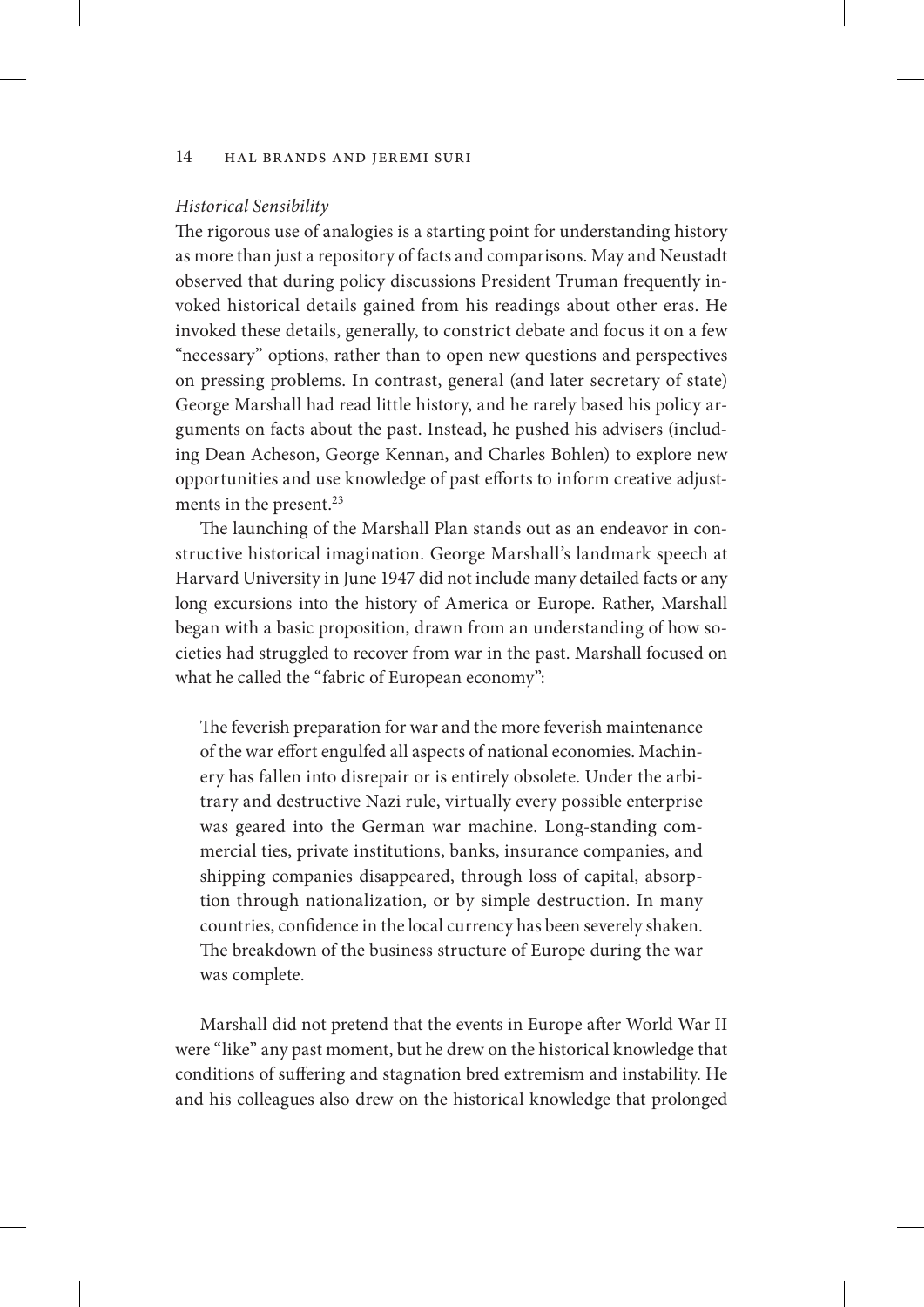#### *Historical Sensibility*

The rigorous use of analogies is a starting point for understanding history as more than just a repository of facts and comparisons. May and Neustadt observed that during policy discussions President Truman frequently invoked historical details gained from his readings about other eras. He invoked these details, generally, to constrict debate and focus it on a few "necessary" options, rather than to open new questions and perspectives on pressing problems. In contrast, general (and later secretary of state) George Marshall had read little history, and he rarely based his policy arguments on facts about the past. Instead, he pushed his advisers (including Dean Acheson, George Kennan, and Charles Bohlen) to explore new opportunities and use knowledge of past efforts to inform creative adjustments in the present.<sup>23</sup>

The launching of the Marshall Plan stands out as an endeavor in constructive historical imagination. George Marshall's landmark speech at Harvard University in June 1947 did not include many detailed facts or any long excursions into the history of America or Europe. Rather, Marshall began with a basic proposition, drawn from an understanding of how societies had struggled to recover from war in the past. Marshall focused on what he called the "fabric of European economy":

The feverish preparation for war and the more feverish maintenance of the war effort engulfed all aspects of national economies. Machinery has fallen into disrepair or is entirely obsolete. Under the arbitrary and destructive Nazi rule, virtually every possible enterprise was geared into the German war machine. Long-standing commercial ties, private institutions, banks, insurance companies, and shipping companies disappeared, through loss of capital, absorption through nationalization, or by simple destruction. In many countries, confidence in the local currency has been severely shaken. The breakdown of the business structure of Europe during the war was complete.

Marshall did not pretend that the events in Europe after World War II were "like" any past moment, but he drew on the historical knowledge that conditions of suffering and stagnation bred extremism and instability. He and his colleagues also drew on the historical knowledge that prolonged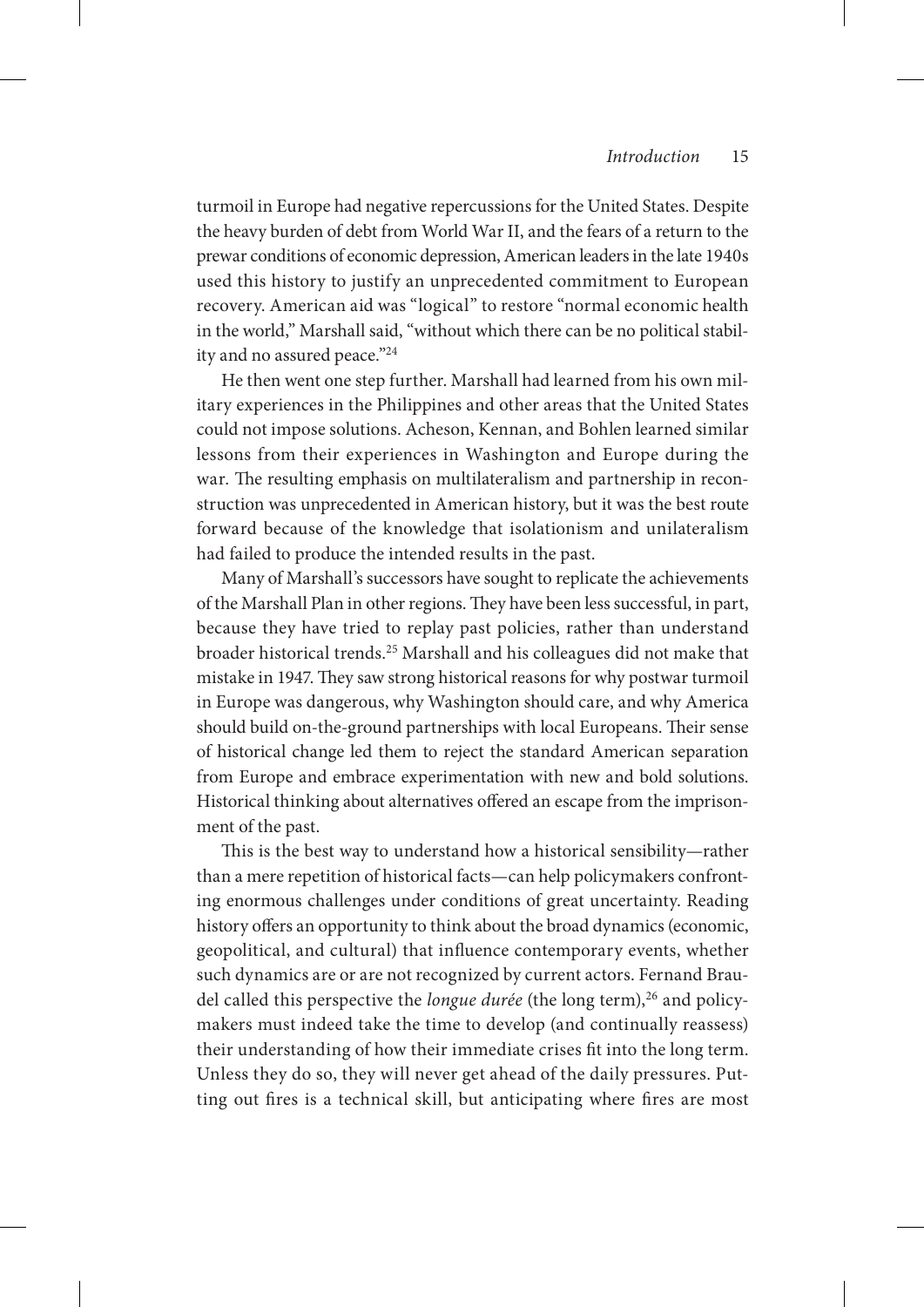turmoil in Europe had negative repercussions for the United States. Despite the heavy burden of debt from World War II, and the fears of a return to the prewar conditions of economic depression, American leaders in the late 1940s used this history to justify an unprecedented commitment to European recovery. American aid was "logical" to restore "normal economic health in the world," Marshall said, "without which there can be no political stability and no assured peace."24

He then went one step further. Marshall had learned from his own military experiences in the Philippines and other areas that the United States could not impose solutions. Acheson, Kennan, and Bohlen learned similar lessons from their experiences in Washington and Europe during the war. The resulting emphasis on multilateralism and partnership in reconstruction was unprecedented in American history, but it was the best route forward because of the knowledge that isolationism and unilateralism had failed to produce the intended results in the past.

Many of Marshall's successors have sought to replicate the achievements of the Marshall Plan in other regions. They have been less successful, in part, because they have tried to replay past policies, rather than understand broader historical trends.25 Marshall and his colleagues did not make that mistake in 1947. They saw strong historical reasons for why postwar turmoil in Europe was dangerous, why Washington should care, and why America should build on-the-ground partnerships with local Europeans. Their sense of historical change led them to reject the standard American separation from Europe and embrace experimentation with new and bold solutions. Historical thinking about alternatives offered an escape from the imprisonment of the past.

This is the best way to understand how a historical sensibility—rather than a mere repetition of historical facts— can help policymakers confronting enormous challenges under conditions of great uncertainty. Reading history offers an opportunity to think about the broad dynamics (economic, geopolitical, and cultural) that influence contemporary events, whether such dynamics are or are not recognized by current actors. Fernand Braudel called this perspective the *longue durée* (the long term),<sup>26</sup> and policymakers must indeed take the time to develop (and continually reassess) their understanding of how their immediate crises fit into the long term. Unless they do so, they will never get ahead of the daily pressures. Putting out fires is a technical skill, but anticipating where fires are most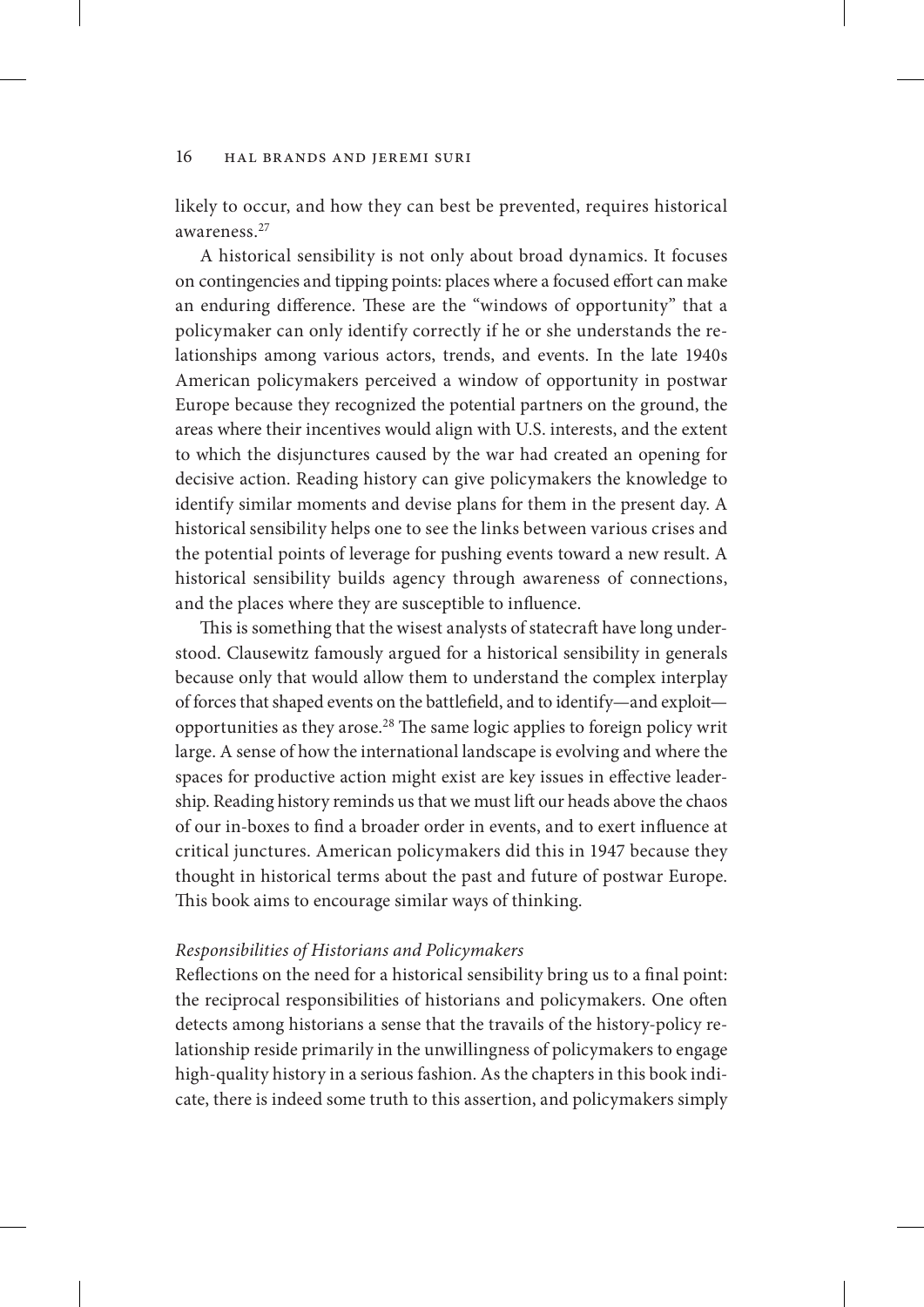likely to occur, and how they can best be prevented, requires historical awareness<sup>27</sup>

A historical sensibility is not only about broad dynamics. It focuses on contingencies and tipping points: places where a focused effort can make an enduring difference. These are the "windows of opportunity" that a policy maker can only identify correctly if he or she understands the relationships among various actors, trends, and events. In the late 1940s American policymakers perceived a window of opportunity in postwar Eu rope because they recognized the potential partners on the ground, the areas where their incentives would align with U.S. interests, and the extent to which the disjunctures caused by the war had created an opening for decisive action. Reading history can give policymakers the knowledge to identify similar moments and devise plans for them in the present day. A historical sensibility helps one to see the links between various crises and the potential points of leverage for pushing events toward a new result. A historical sensibility builds agency through awareness of connections, and the places where they are susceptible to influence.

This is something that the wisest analysts of statecraft have long understood. Clausewitz famously argued for a historical sensibility in generals because only that would allow them to understand the complex interplay of forces that shaped events on the battlefield, and to identify—and exploit opportunities as they arose.<sup>28</sup> The same logic applies to foreign policy writ large. A sense of how the international landscape is evolving and where the spaces for productive action might exist are key issues in effective leadership. Reading history reminds us that we must lift our heads above the chaos of our in-boxes to find a broader order in events, and to exert influence at critical junctures. American policymakers did this in 1947 because they thought in historical terms about the past and future of postwar Europe. This book aims to encourage similar ways of thinking.

#### *Responsibilities of Historians and Policymakers*

Reflections on the need for a historical sensibility bring us to a final point: the reciprocal responsibilities of historians and policymakers. One often detects among historians a sense that the travails of the history-policy relationship reside primarily in the unwillingness of policymakers to engage high- quality history in a serious fashion. As the chapters in this book indicate, there is indeed some truth to this assertion, and policymakers simply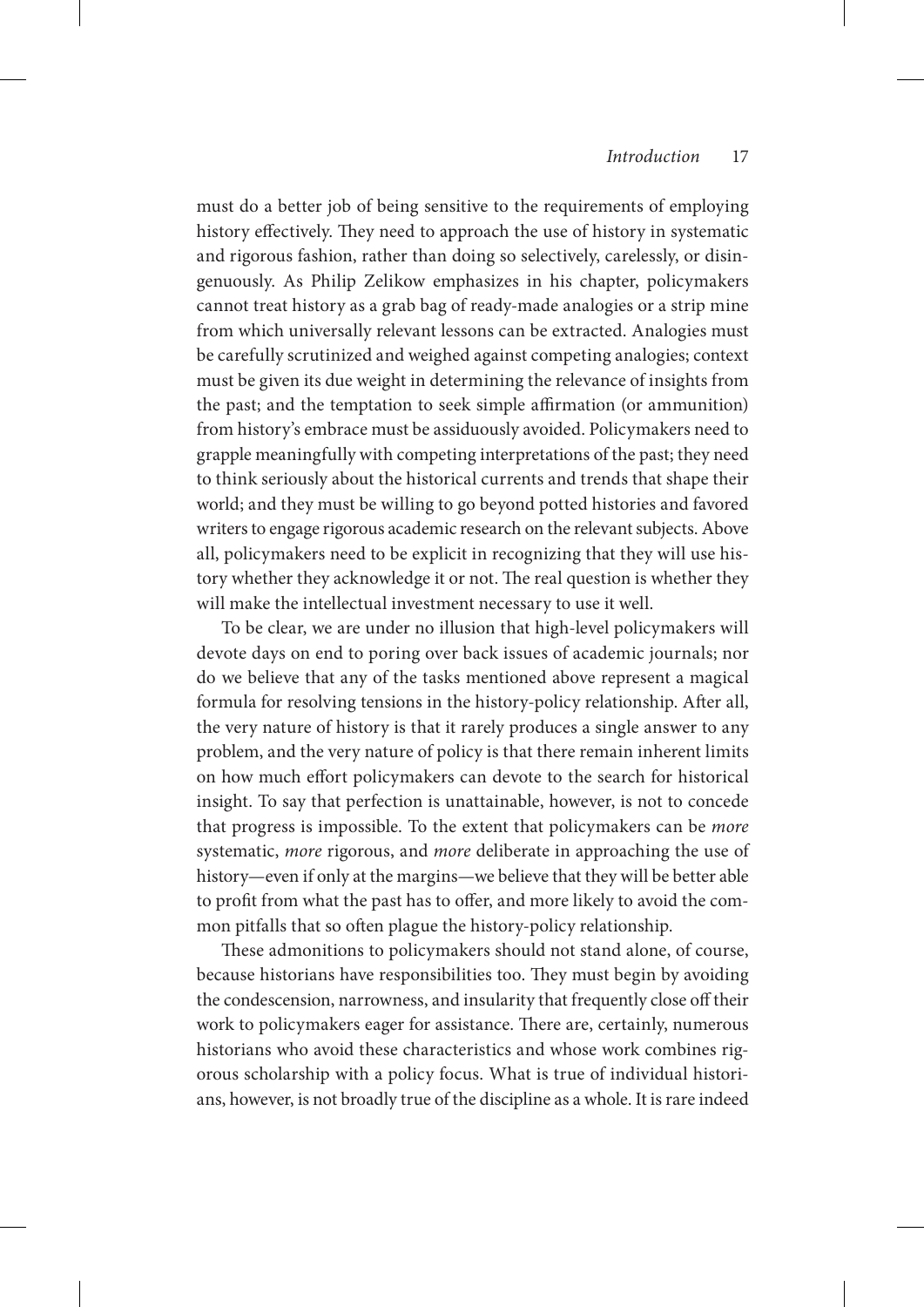must do a better job of being sensitive to the requirements of employing history effectively. They need to approach the use of history in systematic and rigorous fashion, rather than doing so selectively, carelessly, or disingenuously. As Philip Zelikow emphasizes in his chapter, policymakers cannot treat history as a grab bag of ready- made analogies or a strip mine from which universally relevant lessons can be extracted. Analogies must be carefully scrutinized and weighed against competing analogies; context must be given its due weight in determining the relevance of insights from the past; and the temptation to seek simple affirmation (or ammunition) from history's embrace must be assiduously avoided. Policymakers need to grapple meaningfully with competing interpretations of the past; they need to think seriously about the historical currents and trends that shape their world; and they must be willing to go beyond potted histories and favored writers to engage rigorous academic research on the relevant subjects. Above all, policymakers need to be explicit in recognizing that they will use history whether they acknowledge it or not. The real question is whether they will make the intellectual investment necessary to use it well.

To be clear, we are under no illusion that high- level policymakers will devote days on end to poring over back issues of academic journals; nor do we believe that any of the tasks mentioned above represent a magical formula for resolving tensions in the history-policy relationship. After all, the very nature of history is that it rarely produces a single answer to any problem, and the very nature of policy is that there remain inherent limits on how much effort policymakers can devote to the search for historical insight. To say that perfection is unattainable, however, is not to concede that progress is impossible. To the extent that policymakers can be *more* systematic, *more* rigorous, and *more* deliberate in approaching the use of history— even if only at the margins—we believe that they will be better able to profit from what the past has to offer, and more likely to avoid the common pitfalls that so often plague the history-policy relationship.

These admonitions to policymakers should not stand alone, of course, because historians have responsibilities too. They must begin by avoiding the condescension, narrowness, and insularity that frequently close off their work to policymakers eager for assistance. There are, certainly, numerous historians who avoid these characteristics and whose work combines rigorous scholarship with a policy focus. What is true of individual historians, however, is not broadly true of the discipline as a whole. It is rare indeed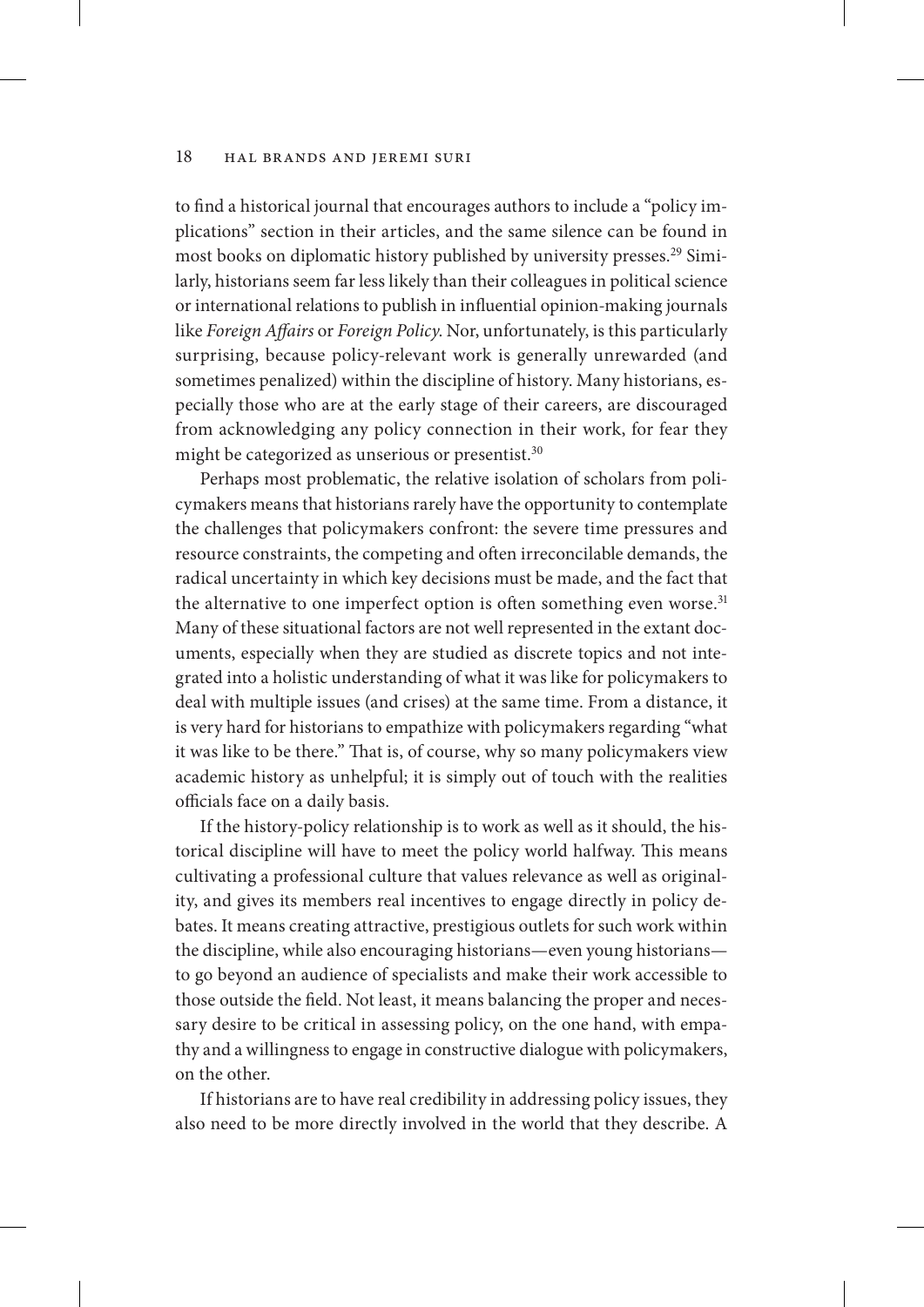to find a historical journal that encourages authors to include a "policy implications" section in their articles, and the same silence can be found in most books on diplomatic history published by university presses.<sup>29</sup> Similarly, historians seem far less likely than their colleagues in political science or international relations to publish in influential opinion-making journals like *Foreign Affairs* or *Foreign Policy*. Nor, unfortunately, is this particularly surprising, because policy- relevant work is generally unrewarded (and sometimes penalized) within the discipline of history. Many historians, especially those who are at the early stage of their careers, are discouraged from acknowledging any policy connection in their work, for fear they might be categorized as unserious or presentist.<sup>30</sup>

Perhaps most problematic, the relative isolation of scholars from policymakers means that historians rarely have the opportunity to contemplate the challenges that policymakers confront: the severe time pressures and resource constraints, the competing and often irreconcilable demands, the radical uncertainty in which key decisions must be made, and the fact that the alternative to one imperfect option is often something even worse.<sup>31</sup> Many of these situational factors are not well represented in the extant documents, especially when they are studied as discrete topics and not integrated into a holistic understanding of what it was like for policymakers to deal with multiple issues (and crises) at the same time. From a distance, it is very hard for historians to empathize with policymakers regarding "what it was like to be there." That is, of course, why so many policymakers view academic history as unhelpful; it is simply out of touch with the realities officials face on a daily basis.

If the history- policy relationship is to work as well as it should, the historical discipline will have to meet the policy world halfway. This means cultivating a professional culture that values relevance as well as originality, and gives its members real incentives to engage directly in policy debates. It means creating attractive, prestigious outlets for such work within the discipline, while also encouraging historians— even young historians to go beyond an audience of specialists and make their work accessible to those outside the field. Not least, it means balancing the proper and necessary desire to be critical in assessing policy, on the one hand, with empathy and a willingness to engage in constructive dialogue with policymakers, on the other.

If historians are to have real credibility in addressing policy issues, they also need to be more directly involved in the world that they describe. A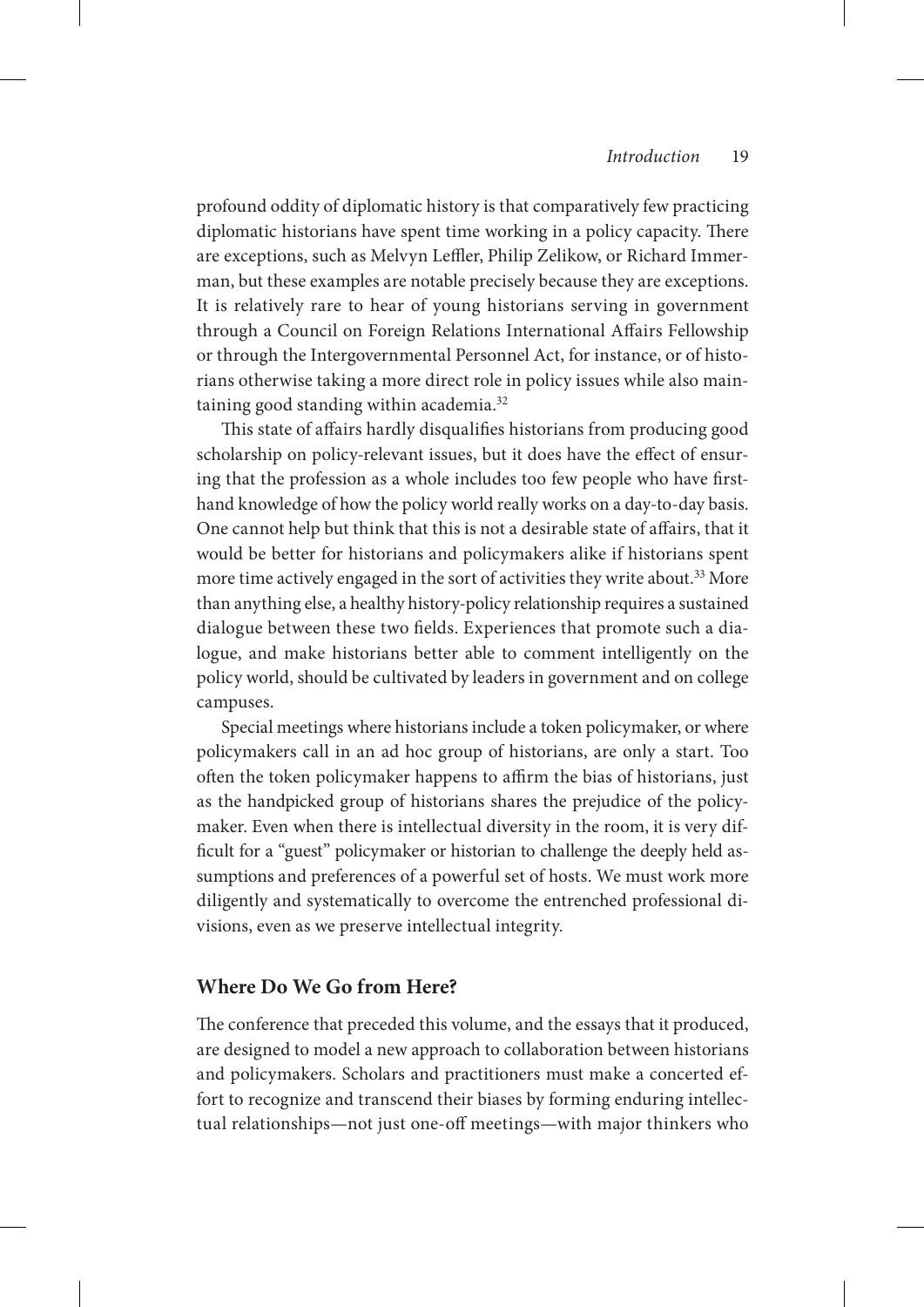profound oddity of diplomatic history is that comparatively few practicing diplomatic historians have spent time working in a policy capacity. There are exceptions, such as Melvyn Leffler, Philip Zelikow, or Richard Immerman, but these examples are notable precisely because they are exceptions. It is relatively rare to hear of young historians serving in government through a Council on Foreign Relations International Affairs Fellowship or through the Intergovernmental Personnel Act, for instance, or of historians otherwise taking a more direct role in policy issues while also maintaining good standing within academia.<sup>32</sup>

This state of affairs hardly disqualifies historians from producing good scholarship on policy-relevant issues, but it does have the effect of ensuring that the profession as a whole includes too few people who have firsthand knowledge of how the policy world really works on a day-to-day basis. One cannot help but think that this is not a desirable state of affairs, that it would be better for historians and policymakers alike if historians spent more time actively engaged in the sort of activities they write about.<sup>33</sup> More than anything else, a healthy history- policy relationship requires a sustained dialogue between these two fields. Experiences that promote such a dialogue, and make historians better able to comment intelligently on the policy world, should be cultivated by leaders in government and on college campuses.

Special meetings where historians include a token policymaker, or where policymakers call in an ad hoc group of historians, are only a start. Too often the token policymaker happens to affirm the bias of historians, just as the handpicked group of historians shares the prejudice of the policymaker. Even when there is intellectual diversity in the room, it is very difficult for a "guest" policymaker or historian to challenge the deeply held assumptions and preferences of a powerful set of hosts. We must work more diligently and systematically to overcome the entrenched professional divisions, even as we preserve intellectual integrity.

## **Where Do We Go from Here?**

The conference that preceded this volume, and the essays that it produced, are designed to model a new approach to collaboration between historians and policymakers. Scholars and practitioners must make a concerted effort to recognize and transcend their biases by forming enduring intellectual relationships— not just one- off meetings— with major thinkers who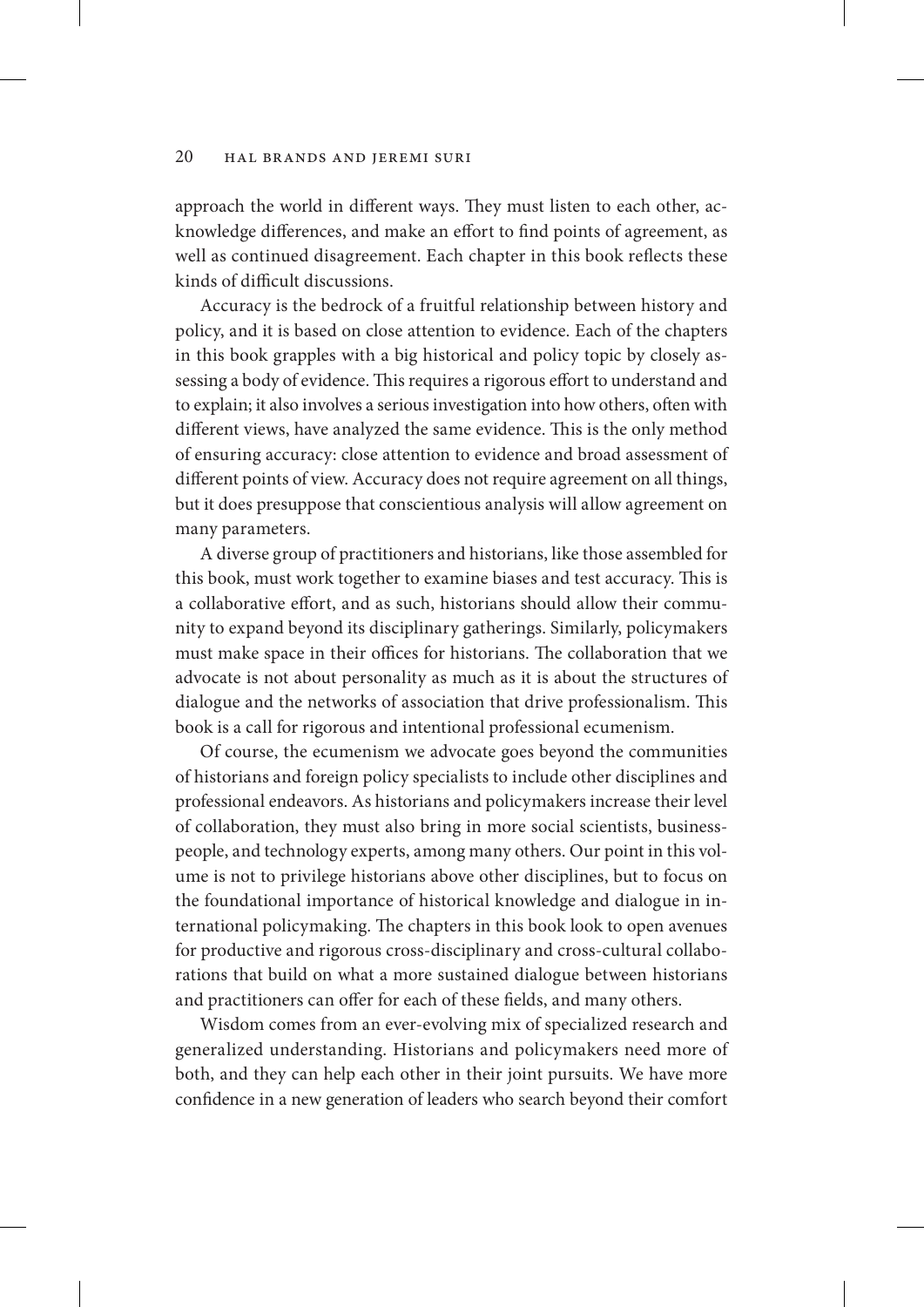approach the world in different ways. They must listen to each other, acknowledge differences, and make an effort to find points of agreement, as well as continued disagreement. Each chapter in this book reflects these kinds of difficult discussions.

Accuracy is the bedrock of a fruitful relationship between history and policy, and it is based on close attention to evidence. Each of the chapters in this book grapples with a big historical and policy topic by closely assessing a body of evidence. This requires a rigorous effort to understand and to explain; it also involves a serious investigation into how others, often with different views, have analyzed the same evidence. This is the only method of ensuring accuracy: close attention to evidence and broad assessment of different points of view. Accuracy does not require agreement on all things, but it does presuppose that conscientious analysis will allow agreement on many parameters.

A diverse group of practitioners and historians, like those assembled for this book, must work together to examine biases and test accuracy. This is a collaborative effort, and as such, historians should allow their community to expand beyond its disciplinary gatherings. Similarly, policymakers must make space in their offices for historians. The collaboration that we advocate is not about personality as much as it is about the structures of dialogue and the networks of association that drive professionalism. This book is a call for rigorous and intentional professional ecumenism.

Of course, the ecumenism we advocate goes beyond the communities of historians and foreign policy specialists to include other disciplines and professional endeavors. As historians and policymakers increase their level of collaboration, they must also bring in more social scientists, businesspeople, and technology experts, among many others. Our point in this volume is not to privilege historians above other disciplines, but to focus on the foundational importance of historical knowledge and dialogue in international policymaking. The chapters in this book look to open avenues for productive and rigorous cross- disciplinary and cross- cultural collaborations that build on what a more sustained dialogue between historians and practitioners can offer for each of these fields, and many others.

Wisdom comes from an ever-evolving mix of specialized research and generalized understanding. Historians and policymakers need more of both, and they can help each other in their joint pursuits. We have more confidence in a new generation of leaders who search beyond their comfort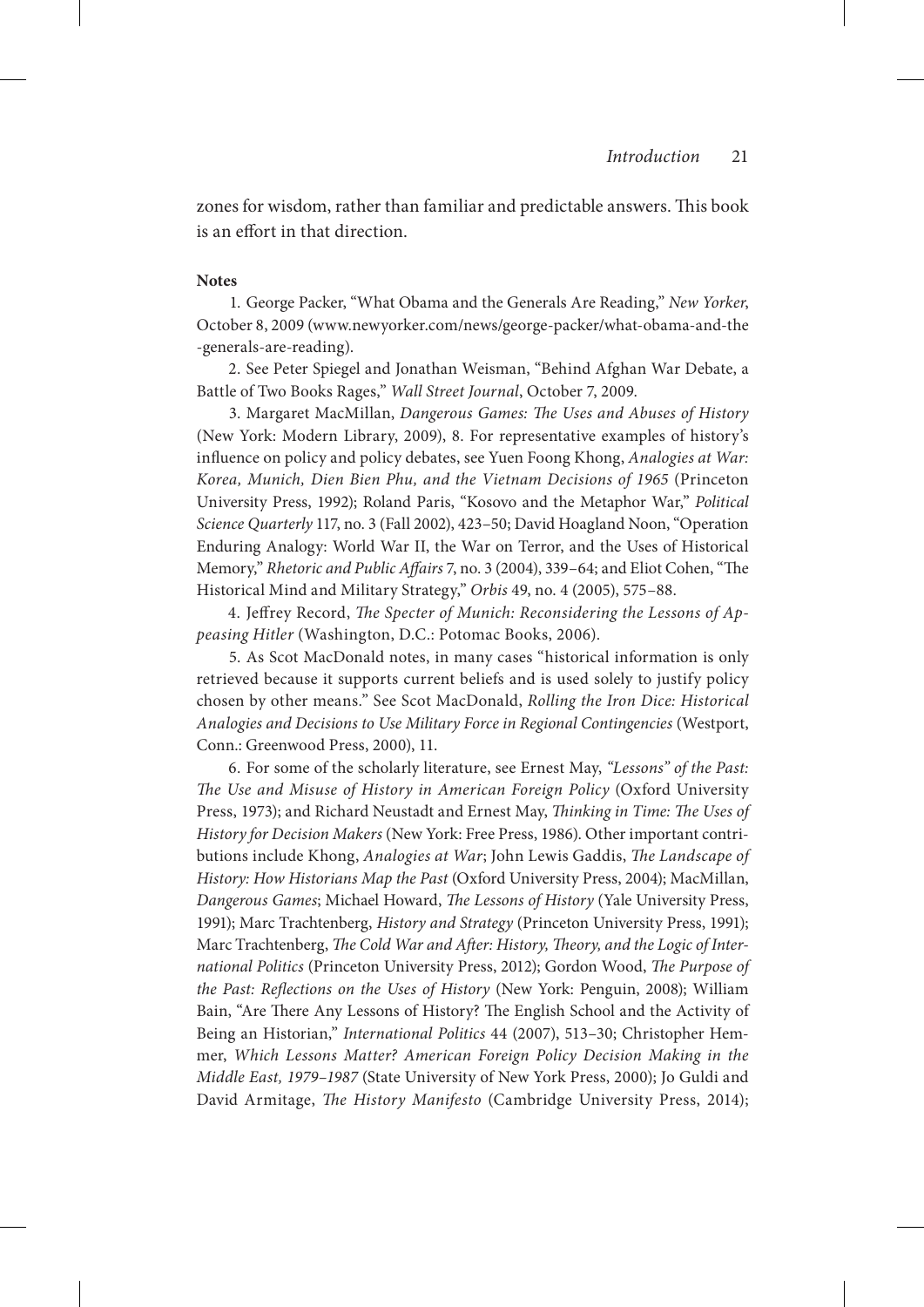zones for wisdom, rather than familiar and predictable answers. This book is an effort in that direction.

#### **Notes**

 1. George Packer, "What Obama and the Generals Are Reading," *New Yorker*, October 8, 2009 (www . newyorker . com / news / george - packer / what - obama - and - the -generals-are-reading).

 2. See Peter Spiegel and Jonathan Weisman, "Behind Afghan War Debate, a Battle of Two Books Rages," *Wall Street Journal*, October 7, 2009.

3. Margaret MacMillan, *Dangerous Games: The Uses and Abuses of History* (New York: Modern Library, 2009), 8. For representative examples of history's influence on policy and policy debates, see Yuen Foong Khong, *Analogies at War*: Korea, Munich, Dien Bien Phu, and the Vietnam Decisions of 1965 (Princeton University Press, 1992); Roland Paris, "Kosovo and the Metaphor War," Political *Science Quarterly* 117, no. 3 (Fall 2002), 423–50; David Hoagland Noon, "Operation Enduring Analogy: World War II, the War on Terror, and the Uses of Historical Memory," *Rhetoric and Public Affairs 7*, no. 3 (2004), 339-64; and Eliot Cohen, "The Historical Mind and Military Strategy," *Orbis* 49, no. 4 (2005), 575–88.

4. Jeffrey Record, *The Specter of Munich: Reconsidering the Lessons of Appeasing Hitler* (Washington, D.C.: Potomac Books, 2006).

 5. As Scot MacDonald notes, in many cases "historical information is only retrieved because it supports current beliefs and is used solely to justify policy chosen by other means." See Scot MacDonald, *Rolling the Iron Dice: Historical Analogies and Decisions to Use Military Force in Regional Contingencies* (Westport, Conn.: Greenwood Press, 2000), 11.

 6. For some of the scholarly literature, see Ernest May, *"Lessons" of the Past:*  The Use and Misuse of History in American Foreign Policy (Oxford University Press, 1973); and Richard Neustadt and Ernest May, *Thinking in Time: The Uses of History for Decision Makers* (New York: Free Press, 1986). Other important contributions include Khong, *Analogies at War*; John Lewis Gaddis, *The Landscape of History: How Historians Map the Past* (Oxford University Press, 2004); MacMillan, *Dangerous Games*; Michael Howard, *The Lessons of History* (Yale University Press, 1991); Marc Trachtenberg, *History and Strategy* (Princeton University Press, 1991); Marc Trachtenberg, *The Cold War and After: History, Theory, and the Logic of International Politics* (Princeton University Press, 2012); Gordon Wood, *The Purpose of the Past: Reflections on the Uses of History* (New York: Penguin, 2008); William Bain, "Are There Any Lessons of History? The English School and the Activity of Being an Historian," *International Politics* 44 (2007), 513–30; Christopher Hemmer, *Which Lessons Matter? American Foreign Policy Decision Making in the Middle East, 1979–1987* (State University of New York Press, 2000); Jo Guldi and David Armitage, *The History Manifesto* (Cambridge University Press, 2014);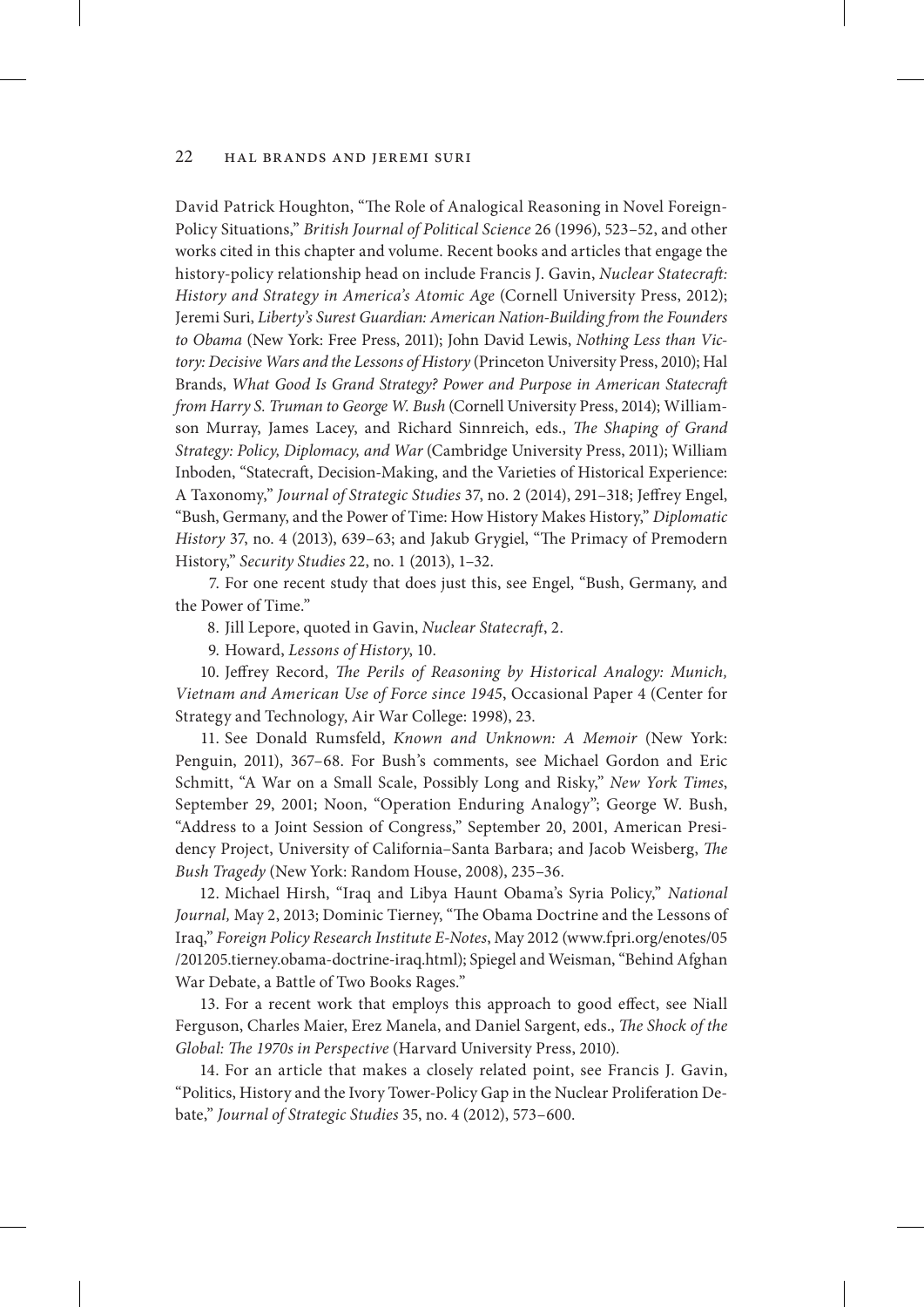David Patrick Houghton, "The Role of Analogical Reasoning in Novel Foreign-Policy Situations," *British Journal of Political Science* 26 (1996), 523–52, and other works cited in this chapter and volume. Recent books and articles that engage the history- policy relationship head on include Francis J. Gavin, *Nuclear Statecraft : History and Strategy in America's Atomic Age* (Cornell University Press, 2012); Jeremi Suri, *Liberty's Surest Guardian: American Nation-Building from the Founders to Obama* (New York: Free Press, 2011); John David Lewis, *Nothing Less than Vic*tory: Decisive Wars and the Lessons of History (Princeton University Press, 2010); Hal Brands, *What Good Is Grand Strategy? Power and Purpose in American Statecraft from Harry S. Truman to George W. Bush* (Cornell University Press, 2014); Williamson Murray, James Lacey, and Richard Sinnreich, eds., *The Shaping of Grand Strategy: Policy, Diplomacy, and War* (Cambridge University Press, 2011); William Inboden, "Statecraft, Decision-Making, and the Varieties of Historical Experience: A Taxonomy," *Journal of Strategic Studies* 37, no. 2 (2014), 291-318; Jeffrey Engel, "Bush, Germany, and the Power of Time: How History Makes History," *Diplomatic History* 37, no. 4 (2013), 639–63; and Jakub Grygiel, "The Primacy of Premodern History," *Security Studies* 22, no. 1 (2013), 1–32.

 7. For one recent study that does just this, see Engel, "Bush, Germany, and the Power of Time."

8. Jill Lepore, quoted in Gavin, *Nuclear Statecraft*, 2.

9. Howard, *Lessons of History*, 10.

10. Jeffrey Record, *The Perils of Reasoning by Historical Analogy: Munich*, *Vietnam and American Use of Force since 1945*, Occasional Paper 4 (Center for Strategy and Technology, Air War College: 1998), 23.

 11. See Donald Rumsfeld, *Known and Unknown: A Memoir* (New York: Penguin, 2011), 367–68. For Bush's comments, see Michael Gordon and Eric Schmitt, "A War on a Small Scale, Possibly Long and Risky," *New York Times*, September 29, 2001; Noon, "Operation Enduring Analogy"; George W. Bush, "Address to a Joint Session of Congress," September 20, 2001, American Presidency Project, University of California-Santa Barbara; and Jacob Weisberg, *The Bush Tragedy* (New York: Random House, 2008), 235–36.

 12. Michael Hirsh, "Iraq and Libya Haunt Obama's Syria Policy," *National*  Journal, May 2, 2013; Dominic Tierney, "The Obama Doctrine and the Lessons of Iraq," *Foreign Policy Research Institute E-Notes*, May 2012 (www.fpri.org/enotes/05 / 201205 . tierney . obama - doctrine - iraq . html); Spiegel and Weisman, "Behind Afghan War Debate, a Battle of Two Books Rages."

13. For a recent work that employs this approach to good effect, see Niall Ferguson, Charles Maier, Erez Manela, and Daniel Sargent, eds., *The Shock of the* Global: The 1970s in Perspective (Harvard University Press, 2010).

 14. For an article that makes a closely related point, see Francis J. Gavin, "Politics, History and the Ivory Tower- Policy Gap in the Nuclear Proliferation Debate," *Journal of Strategic Studies* 35, no. 4 (2012), 573–600.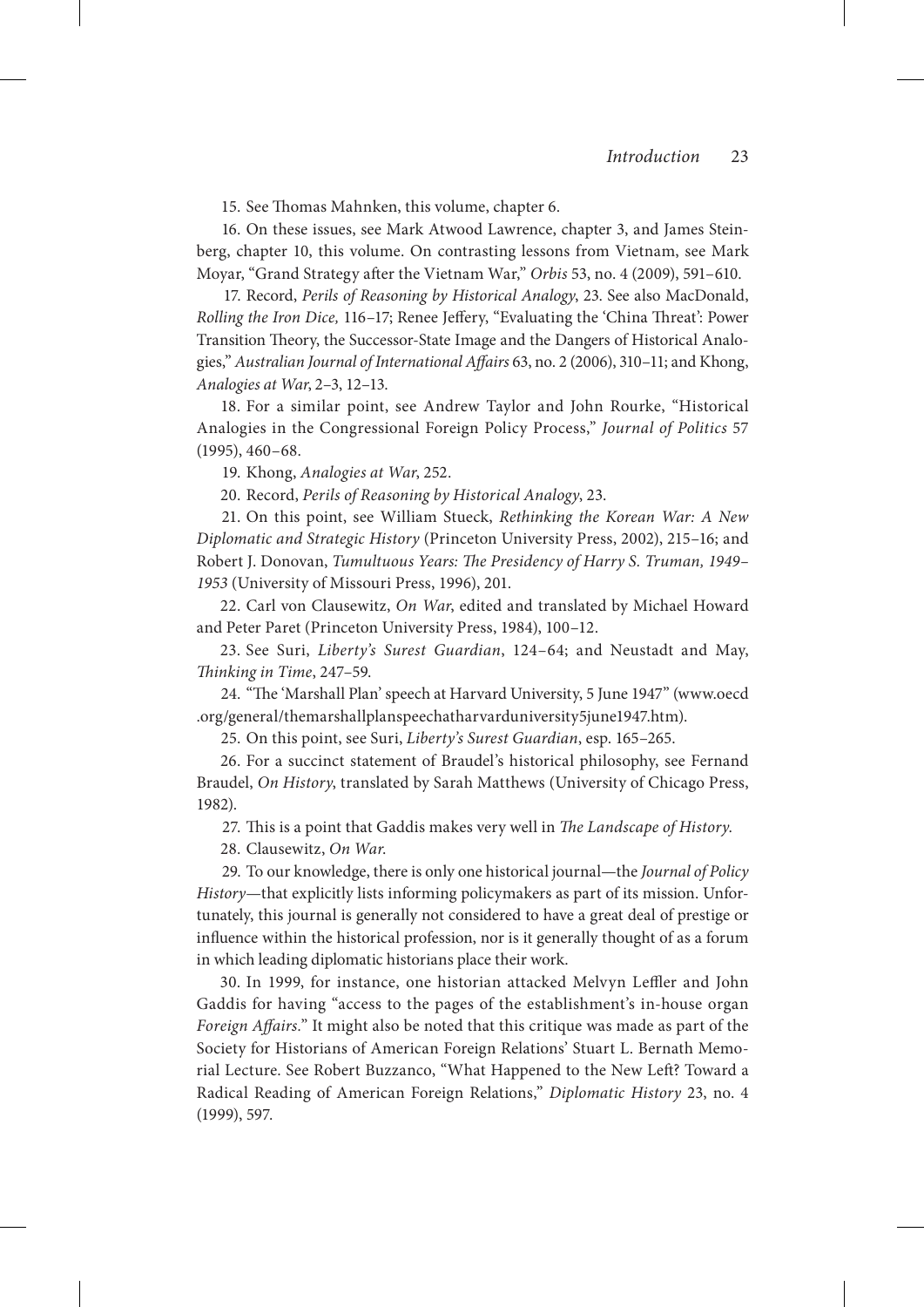15. See Thomas Mahnken, this volume, chapter 6.

 16. On these issues, see Mark Atwood Lawrence, chapter 3, and James Steinberg, chapter 10, this volume. On contrasting lessons from Vietnam, see Mark Moyar, "Grand Strategy after the Vietnam War," Orbis 53, no. 4 (2009), 591-610.

 17. Record, *Perils of Reasoning by Historical Analogy*, 23. See also MacDonald, *Rolling the Iron Dice, 116-17; Renee Jeffery, "Evaluating the 'China Threat': Power* Transition Theory, the Successor-State Image and the Dangers of Historical Analogies," Australian Journal of International Affairs 63, no. 2 (2006), 310-11; and Khong, *Analogies at War*, 2–3, 12–13.

 18. For a similar point, see Andrew Taylor and John Rourke, "Historical Analogies in the Congressional Foreign Policy Process," *Journal of Politics* 57 (1995), 460–68.

19. Khong, *Analogies at War*, 252.

20. Record, *Perils of Reasoning by Historical Analogy*, 23.

 21. On this point, see William Stueck, *Rethinking the Korean War: A New Diplomatic and Strategic History* (Princeton University Press, 2002), 215-16; and Robert J. Donovan, *Tumultuous Years: The Presidency of Harry S. Truman*, 1949– *1953* (University of Missouri Press, 1996), 201.

 22. Carl von Clausewitz, *On War*, edited and translated by Michael Howard and Peter Paret (Princeton University Press, 1984), 100-12.

 23. See Suri, *Liberty's Surest Guardian*, 124–64; and Neustadt and May, *Th inking in Time*, 247–59.

24. "The 'Marshall Plan' speech at Harvard University, 5 June 1947" (www.oecd . org / general / themarshallplanspeechatharvarduniversity5june1947 . htm).

25. On this point, see Suri, *Liberty's Surest Guardian*, esp. 165–265.

 26. For a succinct statement of Braudel's historical philosophy, see Fernand Braudel, *On History*, translated by Sarah Matthews (University of Chicago Press, 1982).

27. This is a point that Gaddis makes very well in *The Landscape of History*.

28. Clausewitz, *On War*.

 29. To our knowledge, there is only one historical journal— the *Journal of Policy History*— that explicitly lists informing policymakers as part of its mission. Unfortunately, this journal is generally not considered to have a great deal of prestige or influence within the historical profession, nor is it generally thought of as a forum in which leading diplomatic historians place their work.

30. In 1999, for instance, one historian attacked Melvyn Leffler and John Gaddis for having "access to the pages of the establishment's in- house organ Foreign Affairs." It might also be noted that this critique was made as part of the Society for Historians of American Foreign Relations' Stuart L. Bernath Memorial Lecture. See Robert Buzzanco, "What Happened to the New Left? Toward a Radical Reading of American Foreign Relations," *Diplomatic History* 23, no. 4 (1999), 597.